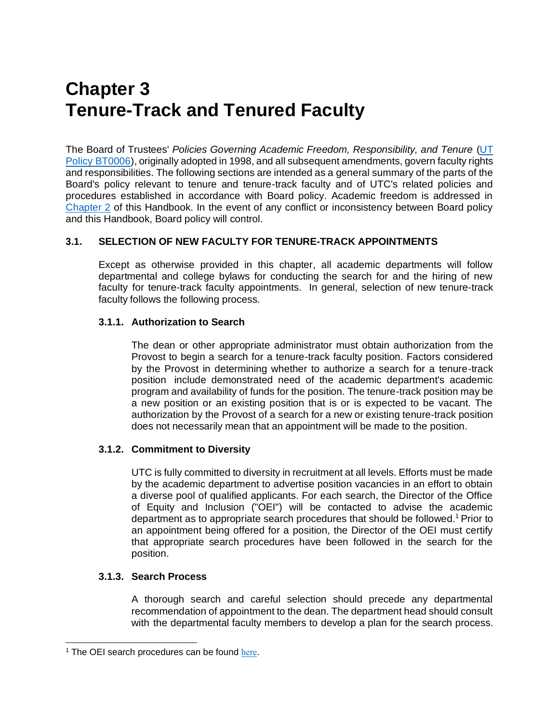# **Chapter 3 Tenure-Track and Tenured Faculty**

The Board of Trustees' *Policies Governing Academic Freedom, Responsibility, and Tenure* [\(UT](http://policy.tennessee.edu/bot_policy/bt0006/)  [Policy BT0006\)](http://policy.tennessee.edu/bot_policy/bt0006/), originally adopted in 1998, and all subsequent amendments, govern faculty rights and responsibilities. The following sections are intended as a general summary of the parts of the Board's policy relevant to tenure and tenure-track faculty and of UTC's related policies and procedures established in accordance with Board policy. Academic freedom is addressed in Chapter 2 of this Handbook. In the event of any conflict or inconsistency between Board policy and this Handbook, Board policy will control.

# **3.1. SELECTION OF NEW FACULTY FOR TENURE-TRACK APPOINTMENTS**

Except as otherwise provided in this chapter, all academic departments will follow departmental and college bylaws for conducting the search for and the hiring of new faculty for tenure-track faculty appointments. In general, selection of new tenure-track faculty follows the following process.

## **3.1.1. Authorization to Search**

The dean or other appropriate administrator must obtain authorization from the Provost to begin a search for a tenure-track faculty position. Factors considered by the Provost in determining whether to authorize a search for a tenure-track position include demonstrated need of the academic department's academic program and availability of funds for the position. The tenure-track position may be a new position or an existing position that is or is expected to be vacant. The authorization by the Provost of a search for a new or existing tenure-track position does not necessarily mean that an appointment will be made to the position.

# **3.1.2. Commitment to Diversity**

UTC is fully committed to diversity in recruitment at all levels. Efforts must be made by the academic department to advertise position vacancies in an effort to obtain a diverse pool of qualified applicants. For each search, the Director of the Office of Equity and Inclusion ("OEI") will be contacted to advise the academic department as to appropriate search procedures that should be followed.<sup>1</sup> Prior to an appointment being offered for a position, the Director of the OEI must certify that appropriate search procedures have been followed in the search for the position.

## **3.1.3. Search Process**

A thorough search and careful selection should precede any departmental recommendation of appointment to the dean. The department head should consult with the departmental faculty members to develop a plan for the search process.

 $1$  The OEI search procedures can be found [here](http://www.utc.edu/equity-diversity/search-procedures.php).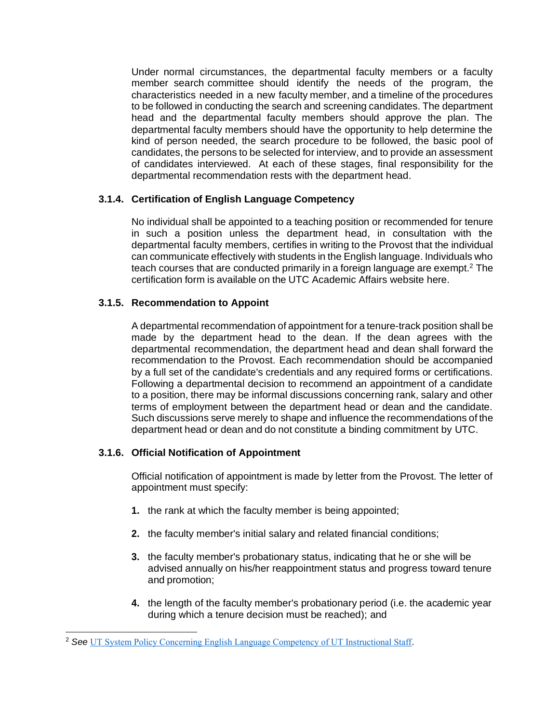Under normal circumstances, the departmental faculty members or a faculty member search committee should identify the needs of the program, the characteristics needed in a new faculty member, and a timeline of the procedures to be followed in conducting the search and screening candidates. The department head and the departmental faculty members should approve the plan. The departmental faculty members should have the opportunity to help determine the kind of person needed, the search procedure to be followed, the basic pool of candidates, the persons to be selected for interview, and to provide an assessment of candidates interviewed. At each of these stages, final responsibility for the departmental recommendation rests with the department head.

# **3.1.4. Certification of English Language Competency**

No individual shall be appointed to a teaching position or recommended for tenure in such a position unless the department head, in consultation with the departmental faculty members, certifies in writing to the Provost that the individual can communicate effectively with students in the English language. Individuals who teach courses that are conducted primarily in a foreign language are exempt.<sup>2</sup> The certification form is available on the UTC Academic Affairs website here.

## **3.1.5. Recommendation to Appoint**

A departmental recommendation of appointment for a tenure-track position shall be made by the department head to the dean. If the dean agrees with the departmental recommendation, the department head and dean shall forward the recommendation to the Provost. Each recommendation should be accompanied by a full set of the candidate's credentials and any required forms or certifications. Following a departmental decision to recommend an appointment of a candidate to a position, there may be informal discussions concerning rank, salary and other terms of employment between the department head or dean and the candidate. Such discussions serve merely to shape and influence the recommendations of the department head or dean and do not constitute a binding commitment by UTC.

## **3.1.6. Official Notification of Appointment**

Official notification of appointment is made by letter from the Provost. The letter of appointment must specify:

- **1.** the rank at which the faculty member is being appointed;
- **2.** the faculty member's initial salary and related financial conditions;
- **3.** the faculty member's probationary status, indicating that he or she will be advised annually on his/her reappointment status and progress toward tenure and promotion;
- **4.** the length of the faculty member's probationary period (i.e. the academic year during which a tenure decision must be reached); and

<sup>2</sup> *See* [UT System Policy Concerning English Language Competency of UT Instructional Staff](http://academicaffairs.tennessee.edu/wp-content/uploads/sites/9/2015/12/EnglishLangCompetency_1984.pdf).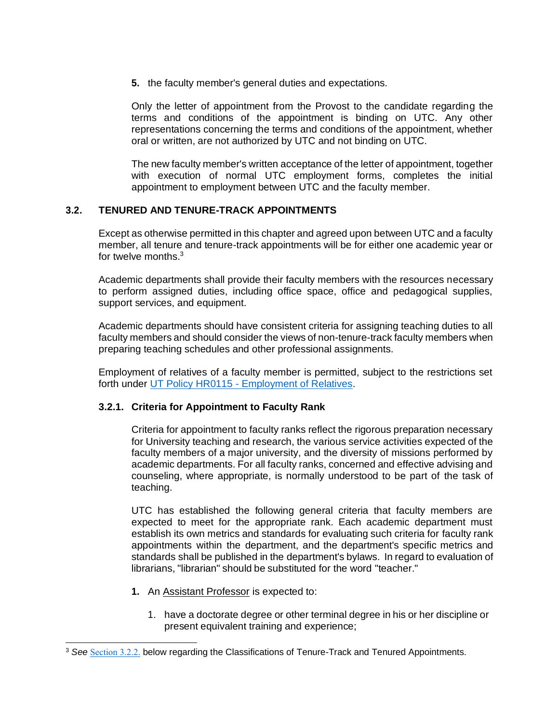**5.** the faculty member's general duties and expectations.

Only the letter of appointment from the Provost to the candidate regarding the terms and conditions of the appointment is binding on UTC. Any other representations concerning the terms and conditions of the appointment, whether oral or written, are not authorized by UTC and not binding on UTC.

The new faculty member's written acceptance of the letter of appointment, together with execution of normal UTC employment forms, completes the initial appointment to employment between UTC and the faculty member.

## **3.2. TENURED AND TENURE-TRACK APPOINTMENTS**

Except as otherwise permitted in this chapter and agreed upon between UTC and a faculty member, all tenure and tenure-track appointments will be for either one academic year or for twelve months.<sup>3</sup>

Academic departments shall provide their faculty members with the resources necessary to perform assigned duties, including office space, office and pedagogical supplies, support services, and equipment.

Academic departments should have consistent criteria for assigning teaching duties to all faculty members and should consider the views of non-tenure-track faculty members when preparing teaching schedules and other professional assignments.

Employment of relatives of a faculty member is permitted, subject to the restrictions set forth under UT Policy HR0115 - [Employment of Relatives.](http://policy.tennessee.edu/hr_policy/hr0115/)

## **3.2.1. Criteria for Appointment to Faculty Rank**

Criteria for appointment to faculty ranks reflect the rigorous preparation necessary for University teaching and research, the various service activities expected of the faculty members of a major university, and the diversity of missions performed by academic departments. For all faculty ranks, concerned and effective advising and counseling, where appropriate, is normally understood to be part of the task of teaching.

UTC has established the following general criteria that faculty members are expected to meet for the appropriate rank. Each academic department must establish its own metrics and standards for evaluating such criteria for faculty rank appointments within the department, and the department's specific metrics and standards shall be published in the department's bylaws. In regard to evaluation of librarians, "librarian" should be substituted for the word "teacher."

- **1.** An Assistant Professor is expected to:
	- 1. have a doctorate degree or other terminal degree in his or her discipline or present equivalent training and experience;

<sup>3</sup> *See* [Section 3.2.2.](#page-4-0) below regarding the Classifications of Tenure-Track and Tenured Appointments.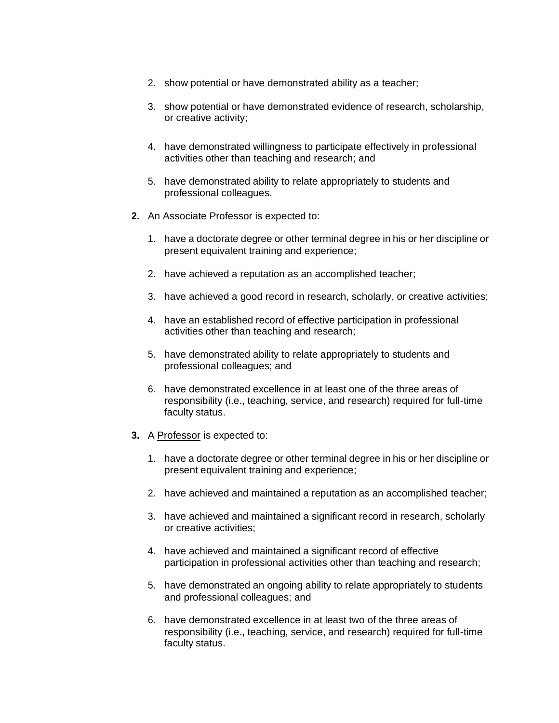- 2. show potential or have demonstrated ability as a teacher;
- 3. show potential or have demonstrated evidence of research, scholarship, or creative activity;
- 4. have demonstrated willingness to participate effectively in professional activities other than teaching and research; and
- 5. have demonstrated ability to relate appropriately to students and professional colleagues.
- **2.** An Associate Professor is expected to:
	- 1. have a doctorate degree or other terminal degree in his or her discipline or present equivalent training and experience;
	- 2. have achieved a reputation as an accomplished teacher;
	- 3. have achieved a good record in research, scholarly, or creative activities;
	- 4. have an established record of effective participation in professional activities other than teaching and research;
	- 5. have demonstrated ability to relate appropriately to students and professional colleagues; and
	- 6. have demonstrated excellence in at least one of the three areas of responsibility (i.e., teaching, service, and research) required for full-time faculty status.
- **3.** A Professor is expected to:
	- 1. have a doctorate degree or other terminal degree in his or her discipline or present equivalent training and experience;
	- 2. have achieved and maintained a reputation as an accomplished teacher;
	- 3. have achieved and maintained a significant record in research, scholarly or creative activities;
	- 4. have achieved and maintained a significant record of effective participation in professional activities other than teaching and research;
	- 5. have demonstrated an ongoing ability to relate appropriately to students and professional colleagues; and
	- 6. have demonstrated excellence in at least two of the three areas of responsibility (i.e., teaching, service, and research) required for full-time faculty status.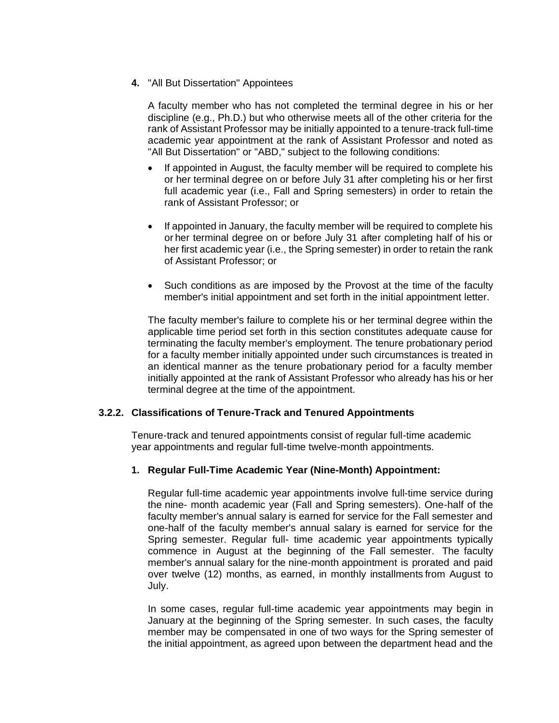**4.** "All But Dissertation" Appointees

A faculty member who has not completed the terminal degree in his or her discipline (e.g., Ph.D.) but who otherwise meets all of the other criteria for the rank of Assistant Professor may be initially appointed to a tenure-track full-time academic year appointment at the rank of Assistant Professor and noted as "All But Dissertation" or "ABD," subject to the following conditions:

- If appointed in August, the faculty member will be required to complete his or her terminal degree on or before July 31 after completing his or her first full academic year (i.e., Fall and Spring semesters) in order to retain the rank of Assistant Professor; or
- If appointed in January, the faculty member will be required to complete his or her terminal degree on or before July 31 after completing half of his or her first academic year (i.e., the Spring semester) in order to retain the rank of Assistant Professor; or
- Such conditions as are imposed by the Provost at the time of the faculty member's initial appointment and set forth in the initial appointment letter.

The faculty member's failure to complete his or her terminal degree within the applicable time period set forth in this section constitutes adequate cause for terminating the faculty member's employment. The tenure probationary period for a faculty member initially appointed under such circumstances is treated in an identical manner as the tenure probationary period for a faculty member initially appointed at the rank of Assistant Professor who already has his or her terminal degree at the time of the appointment.

## <span id="page-4-0"></span>**3.2.2. Classifications of Tenure-Track and Tenured Appointments**

Tenure-track and tenured appointments consist of regular full-time academic year appointments and regular full-time twelve-month appointments.

## **1. Regular Full-Time Academic Year (Nine-Month) Appointment:**

Regular full-time academic year appointments involve full-time service during the nine- month academic year (Fall and Spring semesters). One-half of the faculty member's annual salary is earned for service for the Fall semester and one-half of the faculty member's annual salary is earned for service for the Spring semester. Regular full- time academic year appointments typically commence in August at the beginning of the Fall semester. The faculty member's annual salary for the nine-month appointment is prorated and paid over twelve (12) months, as earned, in monthly installments from August to July.

In some cases, regular full-time academic year appointments may begin in January at the beginning of the Spring semester. In such cases, the faculty member may be compensated in one of two ways for the Spring semester of the initial appointment, as agreed upon between the department head and the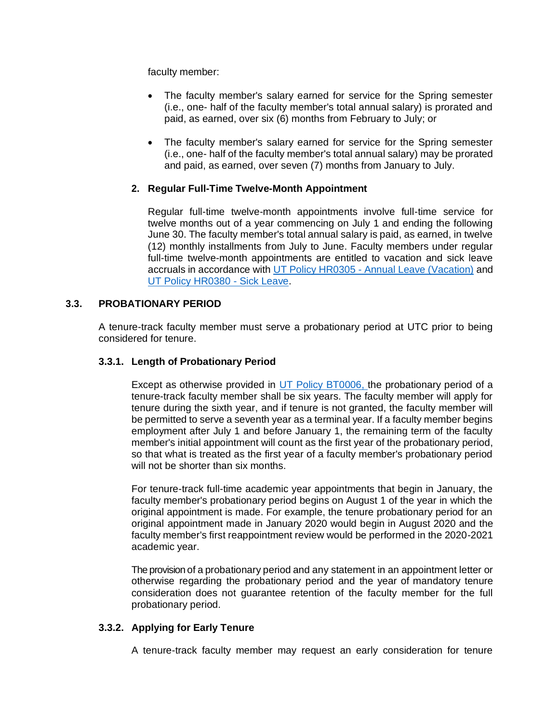faculty member:

- The faculty member's salary earned for service for the Spring semester (i.e., one- half of the faculty member's total annual salary) is prorated and paid, as earned, over six (6) months from February to July; or
- The faculty member's salary earned for service for the Spring semester (i.e., one- half of the faculty member's total annual salary) may be prorated and paid, as earned, over seven (7) months from January to July.

## **2. Regular Full-Time Twelve-Month Appointment**

Regular full-time twelve-month appointments involve full-time service for twelve months out of a year commencing on July 1 and ending the following June 30. The faculty member's total annual salary is paid, as earned, in twelve (12) monthly installments from July to June. Faculty members under regular full-time twelve-month appointments are entitled to vacation and sick leave accruals in accordance with UT Policy HR0305 - [Annual Leave \(Vacation\)](http://policy.tennessee.edu/hr_policy/hr0305/) and [UT Policy HR0380 -](http://policy.tennessee.edu/hr_policy/hr0380/) Sick Leave.

## **3.3. PROBATIONARY PERIOD**

A tenure-track faculty member must serve a probationary period at UTC prior to being considered for tenure.

#### **3.3.1. Length of Probationary Period**

Except as otherwise provided in [UT Policy BT0006,](http://policy.tennessee.edu/bot_policy/bt0006/) the probationary period of a tenure-track faculty member shall be six years. The faculty member will apply for tenure during the sixth year, and if tenure is not granted, the faculty member will be permitted to serve a seventh year as a terminal year. If a faculty member begins employment after July 1 and before January 1, the remaining term of the faculty member's initial appointment will count as the first year of the probationary period, so that what is treated as the first year of a faculty member's probationary period will not be shorter than six months.

For tenure-track full-time academic year appointments that begin in January, the faculty member's probationary period begins on August 1 of the year in which the original appointment is made. For example, the tenure probationary period for an original appointment made in January 2020 would begin in August 2020 and the faculty member's first reappointment review would be performed in the 2020-2021 academic year.

The provision of a probationary period and any statement in an appointment letter or otherwise regarding the probationary period and the year of mandatory tenure consideration does not guarantee retention of the faculty member for the full probationary period.

## **3.3.2. Applying for Early Tenure**

A tenure-track faculty member may request an early consideration for tenure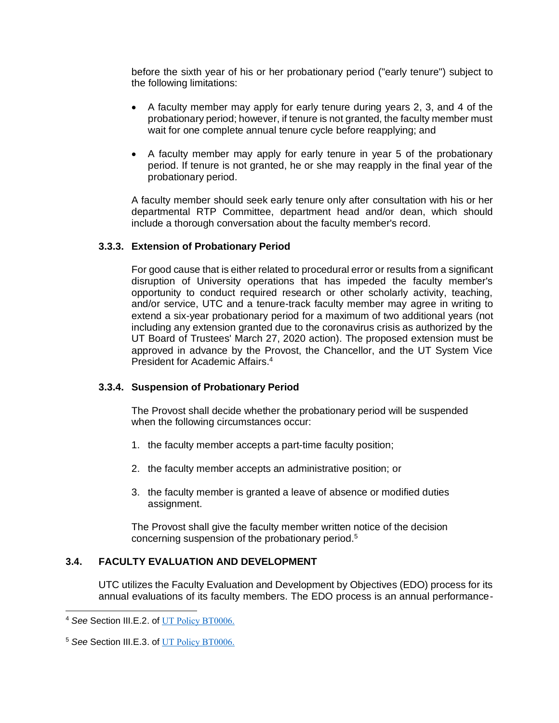before the sixth year of his or her probationary period ("early tenure") subject to the following limitations:

- A faculty member may apply for early tenure during years 2, 3, and 4 of the probationary period; however, if tenure is not granted, the faculty member must wait for one complete annual tenure cycle before reapplying; and
- A faculty member may apply for early tenure in year 5 of the probationary period. If tenure is not granted, he or she may reapply in the final year of the probationary period.

A faculty member should seek early tenure only after consultation with his or her departmental RTP Committee, department head and/or dean, which should include a thorough conversation about the faculty member's record.

#### **3.3.3. Extension of Probationary Period**

For good cause that is either related to procedural error or results from a significant disruption of University operations that has impeded the faculty member's opportunity to conduct required research or other scholarly activity, teaching, and/or service, UTC and a tenure-track faculty member may agree in writing to extend a six-year probationary period for a maximum of two additional years (not including any extension granted due to the coronavirus crisis as authorized by the UT Board of Trustees' March 27, 2020 action). The proposed extension must be approved in advance by the Provost, the Chancellor, and the UT System Vice President for Academic Affairs.<sup>4</sup>

## **3.3.4. Suspension of Probationary Period**

The Provost shall decide whether the probationary period will be suspended when the following circumstances occur:

- 1. the faculty member accepts a part-time faculty position;
- 2. the faculty member accepts an administrative position; or
- 3. the faculty member is granted a leave of absence or modified duties assignment.

The Provost shall give the faculty member written notice of the decision concerning suspension of the probationary period.<sup>5</sup>

## **3.4. FACULTY EVALUATION AND DEVELOPMENT**

UTC utilizes the Faculty Evaluation and Development by Objectives (EDO) process for its annual evaluations of its faculty members. The EDO process is an annual performance-

<sup>4</sup> *See* Section III.E.2. of [UT Policy BT0006.](http://policy.tennessee.edu/bot_policy/bt0006/)

<sup>5</sup> *See* Section III.E.3. of [UT Policy BT0006.](http://policy.tennessee.edu/bot_policy/bt0006/)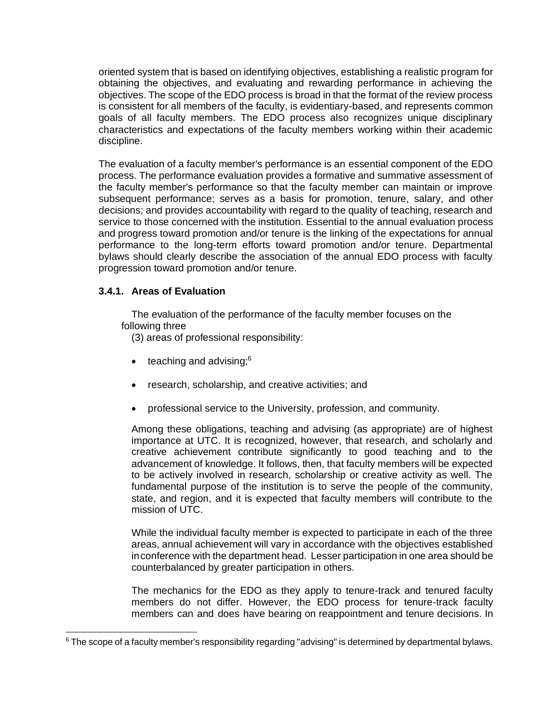oriented system that is based on identifying objectives, establishing a realistic program for obtaining the objectives, and evaluating and rewarding performance in achieving the objectives. The scope of the EDO process is broad in that the format of the review process is consistent for all members of the faculty, is evidentiary-based, and represents common goals of all faculty members. The EDO process also recognizes unique disciplinary characteristics and expectations of the faculty members working within their academic discipline.

The evaluation of a faculty member's performance is an essential component of the EDO process. The performance evaluation provides a formative and summative assessment of the faculty member's performance so that the faculty member can maintain or improve subsequent performance; serves as a basis for promotion, tenure, salary, and other decisions; and provides accountability with regard to the quality of teaching, research and service to those concerned with the institution. Essential to the annual evaluation process and progress toward promotion and/or tenure is the linking of the expectations for annual performance to the long-term efforts toward promotion and/or tenure. Departmental bylaws should clearly describe the association of the annual EDO process with faculty progression toward promotion and/or tenure.

## **3.4.1. Areas of Evaluation**

The evaluation of the performance of the faculty member focuses on the following three

(3) areas of professional responsibility:

- $\bullet$  teaching and advising; $6 \bullet$
- research, scholarship, and creative activities; and
- professional service to the University, profession, and community.

Among these obligations, teaching and advising (as appropriate) are of highest importance at UTC. It is recognized, however, that research, and scholarly and creative achievement contribute significantly to good teaching and to the advancement of knowledge. It follows, then, that faculty members will be expected to be actively involved in research, scholarship or creative activity as well. The fundamental purpose of the institution is to serve the people of the community, state, and region, and it is expected that faculty members will contribute to the mission of UTC.

While the individual faculty member is expected to participate in each of the three areas, annual achievement will vary in accordance with the objectives established inconference with the department head. Lesser participation in one area should be counterbalanced by greater participation in others.

The mechanics for the EDO as they apply to tenure-track and tenured faculty members do not differ. However, the EDO process for tenure-track faculty members can and does have bearing on reappointment and tenure decisions. In

 $6$  The scope of a faculty member's responsibility regarding "advising" is determined by departmental bylaws.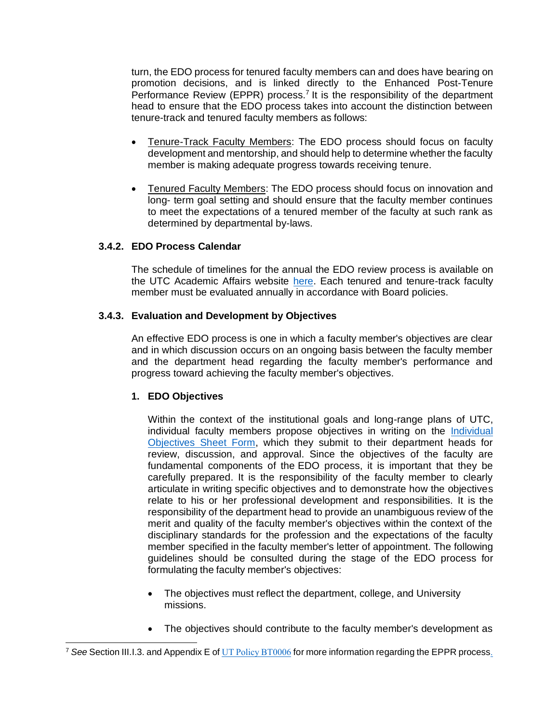turn, the EDO process for tenured faculty members can and does have bearing on promotion decisions, and is linked directly to the Enhanced Post-Tenure Performance Review (EPPR) process.<sup>7</sup> It is the responsibility of the department head to ensure that the EDO process takes into account the distinction between tenure-track and tenured faculty members as follows:

- Tenure-Track Faculty Members: The EDO process should focus on faculty development and mentorship, and should help to determine whether the faculty member is making adequate progress towards receiving tenure.
- Tenured Faculty Members: The EDO process should focus on innovation and long- term goal setting and should ensure that the faculty member continues to meet the expectations of a tenured member of the faculty at such rank as determined by departmental by-laws.

#### **3.4.2. EDO Process Calendar**

The schedule of timelines for the annual the EDO review process is available on the UTC Academic Affairs website [here.](http://www.utc.edu/academic-affairs/calendars-deadlines.php) Each tenured and tenure-track faculty member must be evaluated annually in accordance with Board policies.

#### **3.4.3. Evaluation and Development by Objectives**

An effective EDO process is one in which a faculty member's objectives are clear and in which discussion occurs on an ongoing basis between the faculty member and the department head regarding the faculty member's performance and progress toward achieving the faculty member's objectives.

#### **1. EDO Objectives**

Within the context of the institutional goals and long-range plans of UTC, individual faculty members propose objectives in writing on the [Individual](http://www.utc.edu/academic-affairs/pdfs/1-provost-page-forms/fac-eval-form-rev4-2016.pdf)  [Objectives Sheet Form,](http://www.utc.edu/academic-affairs/pdfs/1-provost-page-forms/fac-eval-form-rev4-2016.pdf) which they submit to their department heads for review, discussion, and approval. Since the objectives of the faculty are fundamental components of the EDO process, it is important that they be carefully prepared. It is the responsibility of the faculty member to clearly articulate in writing specific objectives and to demonstrate how the objectives relate to his or her professional development and responsibilities. It is the responsibility of the department head to provide an unambiguous review of the merit and quality of the faculty member's objectives within the context of the disciplinary standards for the profession and the expectations of the faculty member specified in the faculty member's letter of appointment. The following guidelines should be consulted during the stage of the EDO process for formulating the faculty member's objectives:

- The objectives must reflect the department, college, and University missions.
- The objectives should contribute to the faculty member's development as

<sup>7</sup> *See* Section III.I.3. and Appendix E of [UT Policy BT0006](http://policy.tennessee.edu/bot_policy/bt0006/) for more information regarding the EPPR process.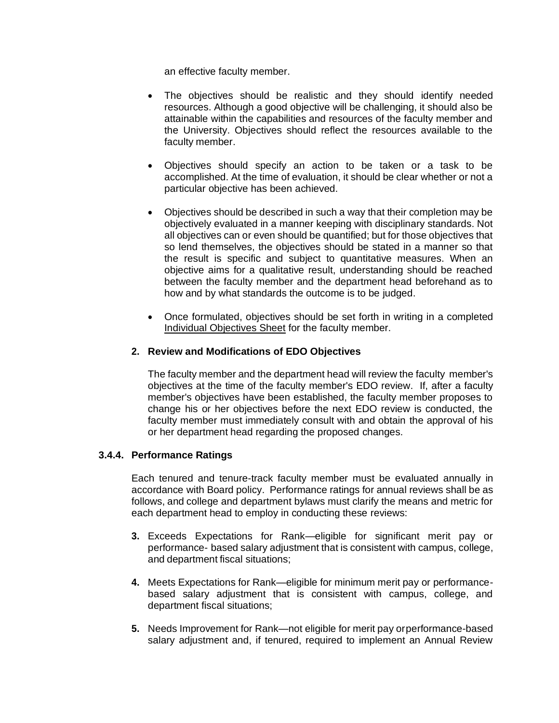an effective faculty member.

- The objectives should be realistic and they should identify needed resources. Although a good objective will be challenging, it should also be attainable within the capabilities and resources of the faculty member and the University. Objectives should reflect the resources available to the faculty member.
- Objectives should specify an action to be taken or a task to be accomplished. At the time of evaluation, it should be clear whether or not a particular objective has been achieved.
- Objectives should be described in such a way that their completion may be objectively evaluated in a manner keeping with disciplinary standards. Not all objectives can or even should be quantified; but for those objectives that so lend themselves, the objectives should be stated in a manner so that the result is specific and subject to quantitative measures. When an objective aims for a qualitative result, understanding should be reached between the faculty member and the department head beforehand as to how and by what standards the outcome is to be judged.
- Once formulated, objectives should be set forth in writing in a completed Individual Objectives Sheet for the faculty member.

## **2. Review and Modifications of EDO Objectives**

The faculty member and the department head will review the faculty member's objectives at the time of the faculty member's EDO review. If, after a faculty member's objectives have been established, the faculty member proposes to change his or her objectives before the next EDO review is conducted, the faculty member must immediately consult with and obtain the approval of his or her department head regarding the proposed changes.

#### **3.4.4. Performance Ratings**

Each tenured and tenure-track faculty member must be evaluated annually in accordance with Board policy. Performance ratings for annual reviews shall be as follows, and college and department bylaws must clarify the means and metric for each department head to employ in conducting these reviews:

- **3.** Exceeds Expectations for Rank—eligible for significant merit pay or performance- based salary adjustment that is consistent with campus, college, and department fiscal situations;
- **4.** Meets Expectations for Rank—eligible for minimum merit pay or performancebased salary adjustment that is consistent with campus, college, and department fiscal situations;
- **5.** Needs Improvement for Rank—not eligible for merit pay orperformance-based salary adjustment and, if tenured, required to implement an Annual Review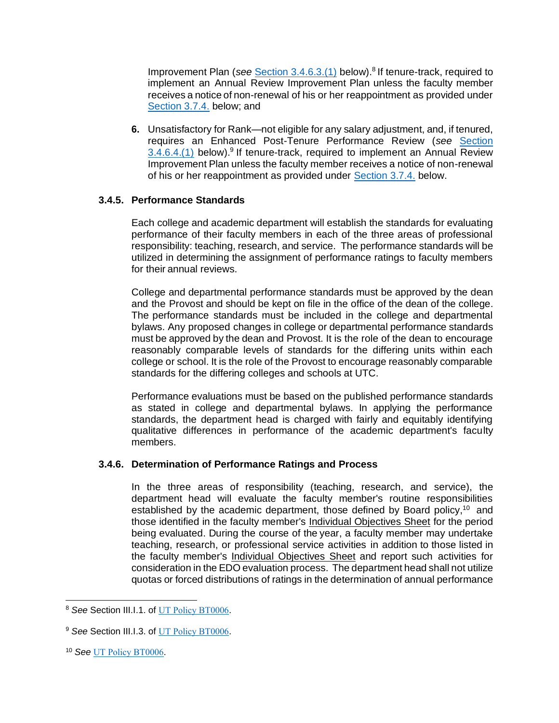Improvement Plan (see [Section 3.4.6.3.\(1\)](#page-12-0) below).<sup>8</sup> If tenure-track, required to implement an Annual Review Improvement Plan unless the faculty member receives a notice of non-renewal of his or her reappointment as provided under [Section 3.7.4.](#page-26-0) below; and

**6.** Unsatisfactory for Rank—not eligible for any salary adjustment, and, if tenured, requires an Enhanced Post-Tenure Performance Review (*see* [Section](#page-13-0)   $3.4.6.4$ . (1) below).<sup>9</sup> If tenure-track, required to implement an Annual Review Improvement Plan unless the faculty member receives a notice of non-renewal of his or her reappointment as provided under [Section 3.7.4.](#page-26-0) below.

## **3.4.5. Performance Standards**

Each college and academic department will establish the standards for evaluating performance of their faculty members in each of the three areas of professional responsibility: teaching, research, and service. The performance standards will be utilized in determining the assignment of performance ratings to faculty members for their annual reviews.

College and departmental performance standards must be approved by the dean and the Provost and should be kept on file in the office of the dean of the college. The performance standards must be included in the college and departmental bylaws. Any proposed changes in college or departmental performance standards must be approved by the dean and Provost. It is the role of the dean to encourage reasonably comparable levels of standards for the differing units within each college or school. It is the role of the Provost to encourage reasonably comparable standards for the differing colleges and schools at UTC.

Performance evaluations must be based on the published performance standards as stated in college and departmental bylaws. In applying the performance standards, the department head is charged with fairly and equitably identifying qualitative differences in performance of the academic department's faculty members.

## **3.4.6. Determination of Performance Ratings and Process**

In the three areas of responsibility (teaching, research, and service), the department head will evaluate the faculty member's routine responsibilities established by the academic department, those defined by Board policy,<sup>10</sup> and those identified in the faculty member's Individual Objectives Sheet for the period being evaluated. During the course of the year, a faculty member may undertake teaching, research, or professional service activities in addition to those listed in the faculty member's Individual Objectives Sheet and report such activities for consideration in the EDO evaluation process. The department head shall not utilize quotas or forced distributions of ratings in the determination of annual performance

<sup>10</sup> *See* [UT Policy BT0006](http://policy.tennessee.edu/bot_policy/bt0006/).

<sup>&</sup>lt;sup>8</sup> See Section III.1.1. of [UT Policy BT0006](http://policy.tennessee.edu/bot_policy/bt0006/).

<sup>&</sup>lt;sup>9</sup> See Section III.I.3. of [UT Policy BT0006](http://policy.tennessee.edu/bot_policy/bt0006/).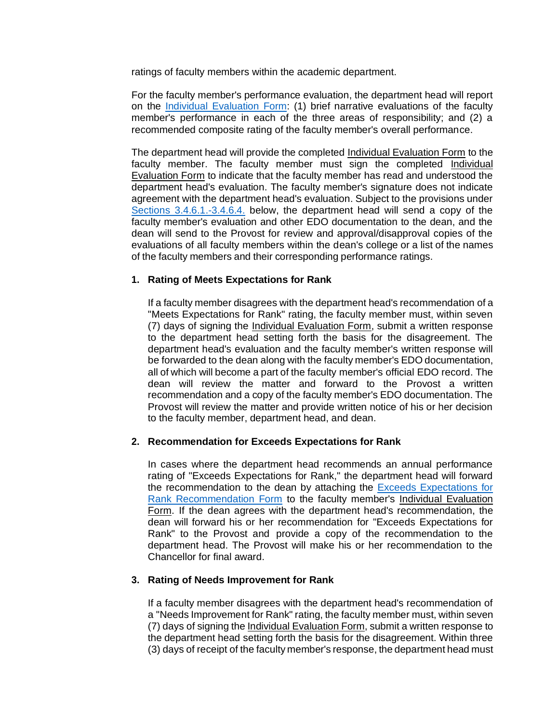ratings of faculty members within the academic department.

For the faculty member's performance evaluation, the department head will report on the [Individual Evaluation Form:](http://www.utc.edu/academic-affairs/pdfs/1-provost-page-forms/fac-eval-form-rev4-2016.pdf) (1) brief narrative evaluations of the faculty member's performance in each of the three areas of responsibility; and (2) a recommended composite rating of the faculty member's overall performance.

The department head will provide the completed Individual Evaluation Form to the faculty member. The faculty member must sign the completed Individual Evaluation Form to indicate that the faculty member has read and understood the department head's evaluation. The faculty member's signature does not indicate agreement with the department head's evaluation. Subject to the provisions under [Sections 3.4.6.1.-3.4.6.4.](#page-11-0) below, the department head will send a copy of the faculty member's evaluation and other EDO documentation to the dean, and the dean will send to the Provost for review and approval/disapproval copies of the evaluations of all faculty members within the dean's college or a list of the names of the faculty members and their corresponding performance ratings.

#### <span id="page-11-0"></span>**1. Rating of Meets Expectations for Rank**

If a faculty member disagrees with the department head's recommendation of a "Meets Expectations for Rank" rating, the faculty member must, within seven (7) days of signing the Individual Evaluation Form, submit a written response to the department head setting forth the basis for the disagreement. The department head's evaluation and the faculty member's written response will be forwarded to the dean along with the faculty member's EDO documentation, all of which will become a part of the faculty member's official EDO record. The dean will review the matter and forward to the Provost a written recommendation and a copy of the faculty member's EDO documentation. The Provost will review the matter and provide written notice of his or her decision to the faculty member, department head, and dean.

## **2. Recommendation for Exceeds Expectations for Rank**

In cases where the department head recommends an annual performance rating of "Exceeds Expectations for Rank," the department head will forward the recommendation to the dean by attaching the [Exceeds Expectations for](http://www.utc.edu/academic-affairs/pdfs/1-provost-page-forms/exceeds-rev-6-2015.pdf)  [Rank Recommendation Form](http://www.utc.edu/academic-affairs/pdfs/1-provost-page-forms/exceeds-rev-6-2015.pdf) to the faculty member's Individual Evaluation Form. If the dean agrees with the department head's recommendation, the dean will forward his or her recommendation for "Exceeds Expectations for Rank" to the Provost and provide a copy of the recommendation to the department head. The Provost will make his or her recommendation to the Chancellor for final award.

#### **3. Rating of Needs Improvement for Rank**

If a faculty member disagrees with the department head's recommendation of a "Needs Improvement for Rank" rating, the faculty member must, within seven (7) days of signing the Individual Evaluation Form, submit a written response to the department head setting forth the basis for the disagreement. Within three (3) days of receipt of the faculty member's response, the department head must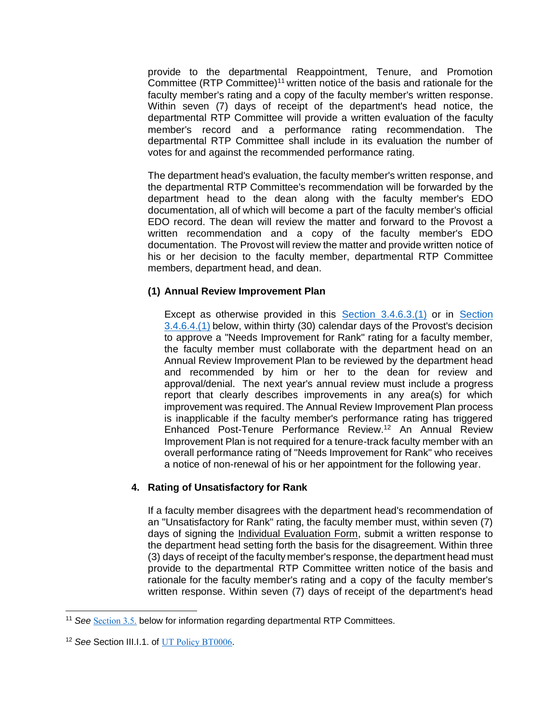provide to the departmental Reappointment, Tenure, and Promotion Committee (RTP Committee)<sup>11</sup> written notice of the basis and rationale for the faculty member's rating and a copy of the faculty member's written response. Within seven (7) days of receipt of the department's head notice, the departmental RTP Committee will provide a written evaluation of the faculty member's record and a performance rating recommendation. The departmental RTP Committee shall include in its evaluation the number of votes for and against the recommended performance rating.

The department head's evaluation, the faculty member's written response, and the departmental RTP Committee's recommendation will be forwarded by the department head to the dean along with the faculty member's EDO documentation, all of which will become a part of the faculty member's official EDO record. The dean will review the matter and forward to the Provost a written recommendation and a copy of the faculty member's EDO documentation. The Provost will review the matter and provide written notice of his or her decision to the faculty member, departmental RTP Committee members, department head, and dean.

#### <span id="page-12-0"></span>**(1) Annual Review Improvement Plan**

Except as otherwise provided in this [Section 3.4.6.3.\(1\)](#page-12-0) or in [Section](#page-13-0)  [3.4.6.4.\(1\)](#page-13-0) below, within thirty (30) calendar days of the Provost's decision to approve a "Needs Improvement for Rank" rating for a faculty member, the faculty member must collaborate with the department head on an Annual Review Improvement Plan to be reviewed by the department head and recommended by him or her to the dean for review and approval/denial. The next year's annual review must include a progress report that clearly describes improvements in any area(s) for which improvement was required. The Annual Review Improvement Plan process is inapplicable if the faculty member's performance rating has triggered Enhanced Post-Tenure Performance Review.<sup>12</sup> An Annual Review Improvement Plan is not required for a tenure-track faculty member with an overall performance rating of "Needs Improvement for Rank" who receives a notice of non-renewal of his or her appointment for the following year.

## **4. Rating of Unsatisfactory for Rank**

If a faculty member disagrees with the department head's recommendation of an "Unsatisfactory for Rank" rating, the faculty member must, within seven (7) days of signing the Individual Evaluation Form, submit a written response to the department head setting forth the basis for the disagreement. Within three (3) days of receipt of the faculty member's response, the department head must provide to the departmental RTP Committee written notice of the basis and rationale for the faculty member's rating and a copy of the faculty member's written response. Within seven (7) days of receipt of the department's head

<sup>11</sup> *See* [Section 3.5.](#page-20-0) below for information regarding departmental RTP Committees.

<sup>&</sup>lt;sup>12</sup> See Section III.I.1. of [UT Policy BT0006](http://policy.tennessee.edu/bot_policy/bt0006/).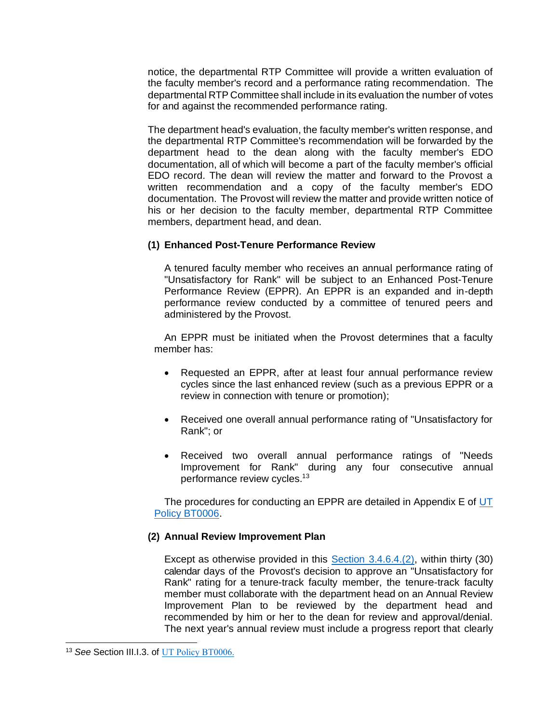notice, the departmental RTP Committee will provide a written evaluation of the faculty member's record and a performance rating recommendation. The departmental RTP Committee shall include in its evaluation the number of votes for and against the recommended performance rating.

The department head's evaluation, the faculty member's written response, and the departmental RTP Committee's recommendation will be forwarded by the department head to the dean along with the faculty member's EDO documentation, all of which will become a part of the faculty member's official EDO record. The dean will review the matter and forward to the Provost a written recommendation and a copy of the faculty member's EDO documentation. The Provost will review the matter and provide written notice of his or her decision to the faculty member, departmental RTP Committee members, department head, and dean.

#### <span id="page-13-0"></span>**(1) Enhanced Post-Tenure Performance Review**

A tenured faculty member who receives an annual performance rating of "Unsatisfactory for Rank" will be subject to an Enhanced Post-Tenure Performance Review (EPPR). An EPPR is an expanded and in-depth performance review conducted by a committee of tenured peers and administered by the Provost.

An EPPR must be initiated when the Provost determines that a faculty member has:

- Requested an EPPR, after at least four annual performance review cycles since the last enhanced review (such as a previous EPPR or a review in connection with tenure or promotion);
- Received one overall annual performance rating of "Unsatisfactory for Rank"; or
- Received two overall annual performance ratings of "Needs" Improvement for Rank" during any four consecutive annual performance review cycles.<sup>13</sup>

The procedures for conducting an EPPR are detailed in Appendix E of UT [Policy BT0006.](http://policy.tennessee.edu/bot_policy/bt0006/)

#### <span id="page-13-1"></span>**(2) Annual Review Improvement Plan**

Except as otherwise provided in this [Section 3.4.6.4.\(2\),](#page-13-1) within thirty (30) calendar days of the Provost's decision to approve an "Unsatisfactory for Rank" rating for a tenure-track faculty member, the tenure-track faculty member must collaborate with the department head on an Annual Review Improvement Plan to be reviewed by the department head and recommended by him or her to the dean for review and approval/denial. The next year's annual review must include a progress report that clearly

<sup>&</sup>lt;sup>13</sup> See Section III.1.3. of [UT Policy BT0006.](http://policy.tennessee.edu/bot_policy/bt0006/)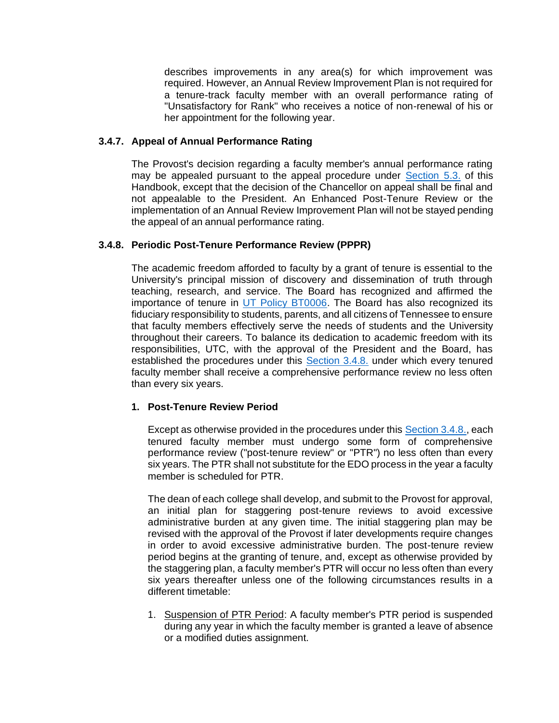describes improvements in any area(s) for which improvement was required. However, an Annual Review Improvement Plan is not required for a tenure-track faculty member with an overall performance rating of "Unsatisfactory for Rank" who receives a notice of non-renewal of his or her appointment for the following year.

## <span id="page-14-1"></span>**3.4.7. Appeal of Annual Performance Rating**

The Provost's decision regarding a faculty member's annual performance rating may be appealed pursuant to the appeal procedure under Section 5.3. of this Handbook, except that the decision of the Chancellor on appeal shall be final and not appealable to the President. An Enhanced Post-Tenure Review or the implementation of an Annual Review Improvement Plan will not be stayed pending the appeal of an annual performance rating.

# <span id="page-14-0"></span>**3.4.8. Periodic Post-Tenure Performance Review (PPPR)**

The academic freedom afforded to faculty by a grant of tenure is essential to the University's principal mission of discovery and dissemination of truth through teaching, research, and service. The Board has recognized and affirmed the importance of tenure in [UT Policy BT0006.](http://policy.tennessee.edu/bot_policy/bt0006/) The Board has also recognized its fiduciary responsibility to students, parents, and all citizens of Tennessee to ensure that faculty members effectively serve the needs of students and the University throughout their careers. To balance its dedication to academic freedom with its responsibilities, UTC, with the approval of the President and the Board, has established the procedures under this [Section 3.4.8.](#page-14-0) under which every tenured faculty member shall receive a comprehensive performance review no less often than every six years.

## **1. Post-Tenure Review Period**

Except as otherwise provided in the procedures under this [Section 3.4.8.,](#page-14-0) each tenured faculty member must undergo some form of comprehensive performance review ("post-tenure review" or "PTR") no less often than every six years. The PTR shall not substitute for the EDO process in the year a faculty member is scheduled for PTR.

The dean of each college shall develop, and submit to the Provost for approval, an initial plan for staggering post-tenure reviews to avoid excessive administrative burden at any given time. The initial staggering plan may be revised with the approval of the Provost if later developments require changes in order to avoid excessive administrative burden. The post-tenure review period begins at the granting of tenure, and, except as otherwise provided by the staggering plan, a faculty member's PTR will occur no less often than every six years thereafter unless one of the following circumstances results in a different timetable:

1. Suspension of PTR Period: A faculty member's PTR period is suspended during any year in which the faculty member is granted a leave of absence or a modified duties assignment.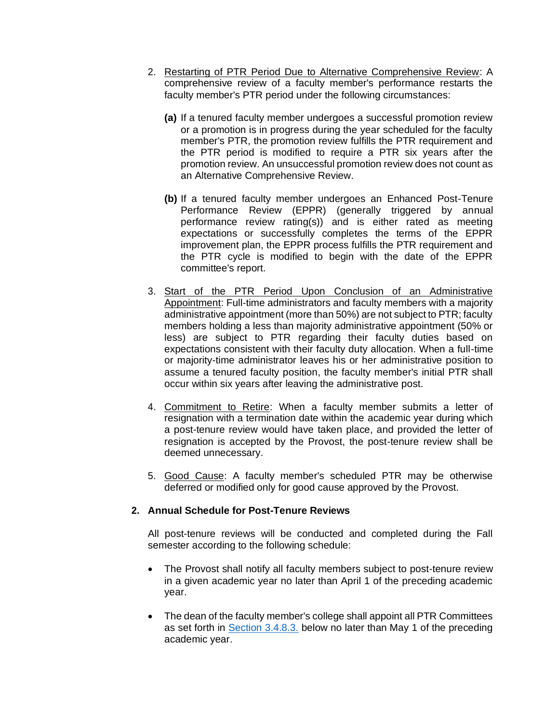- 2. Restarting of PTR Period Due to Alternative Comprehensive Review: A comprehensive review of a faculty member's performance restarts the faculty member's PTR period under the following circumstances:
	- **(a)** If a tenured faculty member undergoes a successful promotion review or a promotion is in progress during the year scheduled for the faculty member's PTR, the promotion review fulfills the PTR requirement and the PTR period is modified to require a PTR six years after the promotion review. An unsuccessful promotion review does not count as an Alternative Comprehensive Review.
	- **(b)** If a tenured faculty member undergoes an Enhanced Post-Tenure Performance Review (EPPR) (generally triggered by annual performance review rating(s)) and is either rated as meeting expectations or successfully completes the terms of the EPPR improvement plan, the EPPR process fulfills the PTR requirement and the PTR cycle is modified to begin with the date of the EPPR committee's report.
- 3. Start of the PTR Period Upon Conclusion of an Administrative Appointment: Full-time administrators and faculty members with a majority administrative appointment (more than 50%) are not subject to PTR; faculty members holding a less than majority administrative appointment (50% or less) are subject to PTR regarding their faculty duties based on expectations consistent with their faculty duty allocation. When a full-time or majority-time administrator leaves his or her administrative position to assume a tenured faculty position, the faculty member's initial PTR shall occur within six years after leaving the administrative post.
- 4. Commitment to Retire: When a faculty member submits a letter of resignation with a termination date within the academic year during which a post-tenure review would have taken place, and provided the letter of resignation is accepted by the Provost, the post-tenure review shall be deemed unnecessary.
- 5. Good Cause: A faculty member's scheduled PTR may be otherwise deferred or modified only for good cause approved by the Provost.

## **2. Annual Schedule for Post-Tenure Reviews**

All post-tenure reviews will be conducted and completed during the Fall semester according to the following schedule:

- The Provost shall notify all faculty members subject to post-tenure review in a given academic year no later than April 1 of the preceding academic year.
- The dean of the faculty member's college shall appoint all PTR Committees as set forth in [Section 3.4.8.3.](#page-16-0) below no later than May 1 of the preceding academic year.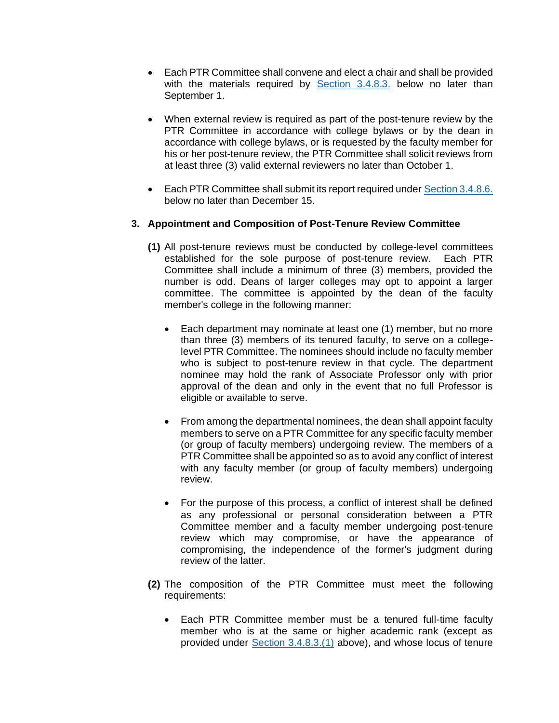- Each PTR Committee shall convene and elect a chair and shall be provided with the materials required by [Section 3.4.8.3.](#page-16-0) below no later than September 1.
- When external review is required as part of the post-tenure review by the PTR Committee in accordance with college bylaws or by the dean in accordance with college bylaws, or is requested by the faculty member for his or her post-tenure review, the PTR Committee shall solicit reviews from at least three (3) valid external reviewers no later than October 1.
- Each PTR Committee shall submit its report required under [Section 3.4.8.6.](#page-19-0) below no later than December 15.

# <span id="page-16-1"></span><span id="page-16-0"></span>**3. Appointment and Composition of Post-Tenure Review Committee**

- **(1)** All post-tenure reviews must be conducted by college-level committees established for the sole purpose of post-tenure review. Each PTR Committee shall include a minimum of three (3) members, provided the number is odd. Deans of larger colleges may opt to appoint a larger committee. The committee is appointed by the dean of the faculty member's college in the following manner:
	- Each department may nominate at least one (1) member, but no more than three (3) members of its tenured faculty, to serve on a collegelevel PTR Committee. The nominees should include no faculty member who is subject to post-tenure review in that cycle. The department nominee may hold the rank of Associate Professor only with prior approval of the dean and only in the event that no full Professor is eligible or available to serve.
	- From among the departmental nominees, the dean shall appoint faculty members to serve on a PTR Committee for any specific faculty member (or group of faculty members) undergoing review. The members of a PTR Committee shall be appointed so as to avoid any conflict of interest with any faculty member (or group of faculty members) undergoing review.
	- For the purpose of this process, a conflict of interest shall be defined as any professional or personal consideration between a PTR Committee member and a faculty member undergoing post-tenure review which may compromise, or have the appearance of compromising, the independence of the former's judgment during review of the latter.
- **(2)** The composition of the PTR Committee must meet the following requirements:
	- Each PTR Committee member must be a tenured full-time faculty member who is at the same or higher academic rank (except as provided under [Section 3.4.8.3.\(1\)](#page-16-1) above), and whose locus of tenure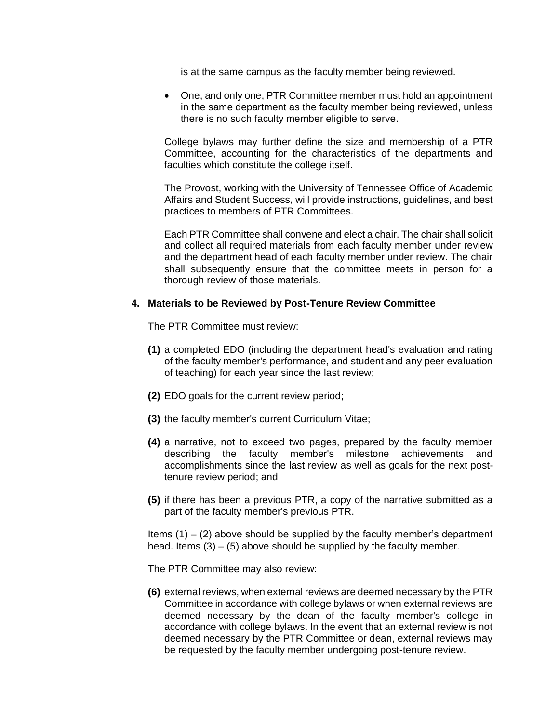is at the same campus as the faculty member being reviewed.

• One, and only one, PTR Committee member must hold an appointment in the same department as the faculty member being reviewed, unless there is no such faculty member eligible to serve.

College bylaws may further define the size and membership of a PTR Committee, accounting for the characteristics of the departments and faculties which constitute the college itself.

The Provost, working with the University of Tennessee Office of Academic Affairs and Student Success, will provide instructions, guidelines, and best practices to members of PTR Committees.

Each PTR Committee shall convene and elect a chair. The chair shall solicit and collect all required materials from each faculty member under review and the department head of each faculty member under review. The chair shall subsequently ensure that the committee meets in person for a thorough review of those materials.

#### **4. Materials to be Reviewed by Post-Tenure Review Committee**

The PTR Committee must review:

- **(1)** a completed EDO (including the department head's evaluation and rating of the faculty member's performance, and student and any peer evaluation of teaching) for each year since the last review;
- **(2)** EDO goals for the current review period;
- **(3)** the faculty member's current Curriculum Vitae;
- **(4)** a narrative, not to exceed two pages, prepared by the faculty member describing the faculty member's milestone achievements and accomplishments since the last review as well as goals for the next posttenure review period; and
- **(5)** if there has been a previous PTR, a copy of the narrative submitted as a part of the faculty member's previous PTR.

Items  $(1) - (2)$  above should be supplied by the faculty member's department head. Items  $(3) - (5)$  above should be supplied by the faculty member.

The PTR Committee may also review:

**(6)** external reviews, when external reviews are deemed necessary by the PTR Committee in accordance with college bylaws or when external reviews are deemed necessary by the dean of the faculty member's college in accordance with college bylaws. In the event that an external review is not deemed necessary by the PTR Committee or dean, external reviews may be requested by the faculty member undergoing post-tenure review.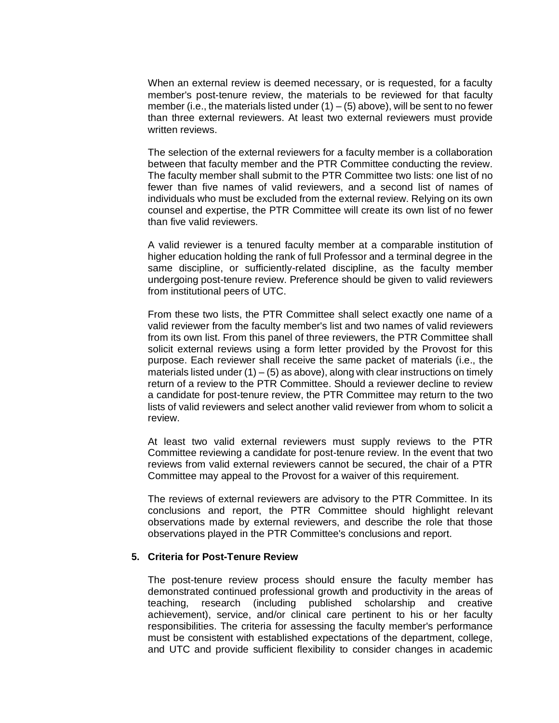When an external review is deemed necessary, or is requested, for a faculty member's post-tenure review, the materials to be reviewed for that faculty member (i.e., the materials listed under  $(1) - (5)$  above), will be sent to no fewer than three external reviewers. At least two external reviewers must provide written reviews.

The selection of the external reviewers for a faculty member is a collaboration between that faculty member and the PTR Committee conducting the review. The faculty member shall submit to the PTR Committee two lists: one list of no fewer than five names of valid reviewers, and a second list of names of individuals who must be excluded from the external review. Relying on its own counsel and expertise, the PTR Committee will create its own list of no fewer than five valid reviewers.

A valid reviewer is a tenured faculty member at a comparable institution of higher education holding the rank of full Professor and a terminal degree in the same discipline, or sufficiently-related discipline, as the faculty member undergoing post-tenure review. Preference should be given to valid reviewers from institutional peers of UTC.

From these two lists, the PTR Committee shall select exactly one name of a valid reviewer from the faculty member's list and two names of valid reviewers from its own list. From this panel of three reviewers, the PTR Committee shall solicit external reviews using a form letter provided by the Provost for this purpose. Each reviewer shall receive the same packet of materials (i.e., the materials listed under  $(1) - (5)$  as above), along with clear instructions on timely return of a review to the PTR Committee. Should a reviewer decline to review a candidate for post-tenure review, the PTR Committee may return to the two lists of valid reviewers and select another valid reviewer from whom to solicit a review.

At least two valid external reviewers must supply reviews to the PTR Committee reviewing a candidate for post-tenure review. In the event that two reviews from valid external reviewers cannot be secured, the chair of a PTR Committee may appeal to the Provost for a waiver of this requirement.

The reviews of external reviewers are advisory to the PTR Committee. In its conclusions and report, the PTR Committee should highlight relevant observations made by external reviewers, and describe the role that those observations played in the PTR Committee's conclusions and report.

#### **5. Criteria for Post-Tenure Review**

The post-tenure review process should ensure the faculty member has demonstrated continued professional growth and productivity in the areas of teaching, research (including published scholarship and creative achievement), service, and/or clinical care pertinent to his or her faculty responsibilities. The criteria for assessing the faculty member's performance must be consistent with established expectations of the department, college, and UTC and provide sufficient flexibility to consider changes in academic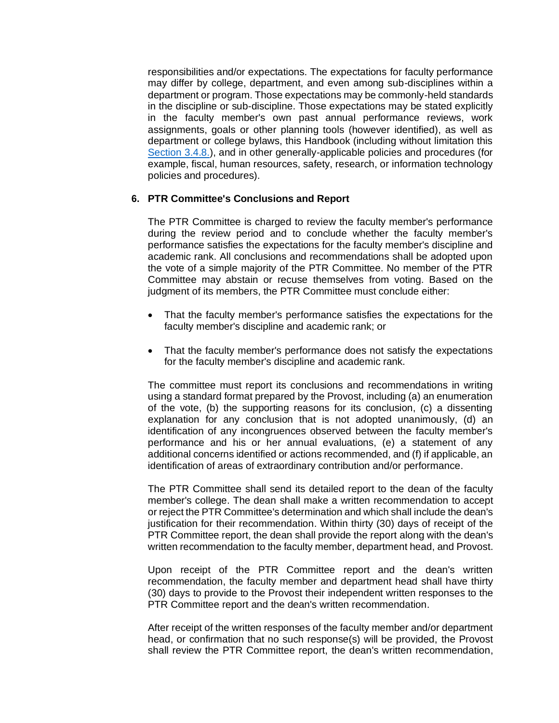responsibilities and/or expectations. The expectations for faculty performance may differ by college, department, and even among sub-disciplines within a department or program. Those expectations may be commonly-held standards in the discipline or sub-discipline. Those expectations may be stated explicitly in the faculty member's own past annual performance reviews, work assignments, goals or other planning tools (however identified), as well as department or college bylaws, this Handbook (including without limitation this [Section 3.4.8.\)](#page-14-0), and in other generally-applicable policies and procedures (for example, fiscal, human resources, safety, research, or information technology policies and procedures).

#### <span id="page-19-0"></span>**6. PTR Committee's Conclusions and Report**

The PTR Committee is charged to review the faculty member's performance during the review period and to conclude whether the faculty member's performance satisfies the expectations for the faculty member's discipline and academic rank. All conclusions and recommendations shall be adopted upon the vote of a simple majority of the PTR Committee. No member of the PTR Committee may abstain or recuse themselves from voting. Based on the judgment of its members, the PTR Committee must conclude either:

- That the faculty member's performance satisfies the expectations for the faculty member's discipline and academic rank; or
- That the faculty member's performance does not satisfy the expectations for the faculty member's discipline and academic rank.

The committee must report its conclusions and recommendations in writing using a standard format prepared by the Provost, including (a) an enumeration of the vote, (b) the supporting reasons for its conclusion, (c) a dissenting explanation for any conclusion that is not adopted unanimously, (d) an identification of any incongruences observed between the faculty member's performance and his or her annual evaluations, (e) a statement of any additional concerns identified or actions recommended, and (f) if applicable, an identification of areas of extraordinary contribution and/or performance.

The PTR Committee shall send its detailed report to the dean of the faculty member's college. The dean shall make a written recommendation to accept or reject the PTR Committee's determination and which shall include the dean's justification for their recommendation. Within thirty (30) days of receipt of the PTR Committee report, the dean shall provide the report along with the dean's written recommendation to the faculty member, department head, and Provost.

Upon receipt of the PTR Committee report and the dean's written recommendation, the faculty member and department head shall have thirty (30) days to provide to the Provost their independent written responses to the PTR Committee report and the dean's written recommendation.

After receipt of the written responses of the faculty member and/or department head, or confirmation that no such response(s) will be provided, the Provost shall review the PTR Committee report, the dean's written recommendation,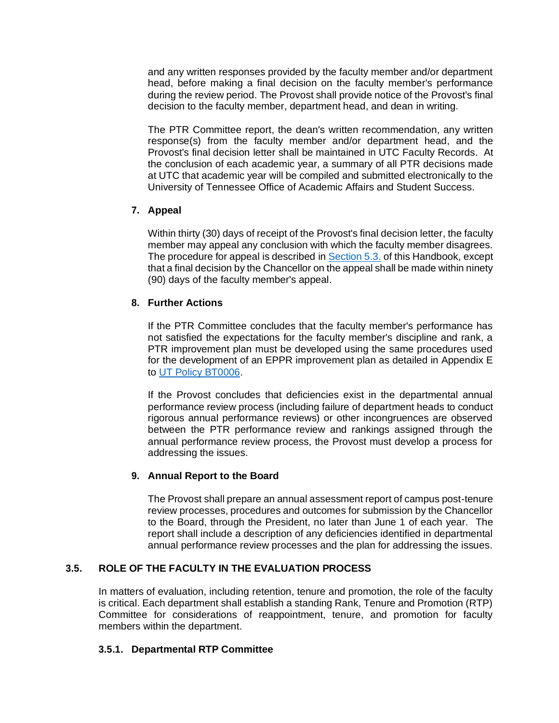and any written responses provided by the faculty member and/or department head, before making a final decision on the faculty member's performance during the review period. The Provost shall provide notice of the Provost's final decision to the faculty member, department head, and dean in writing.

The PTR Committee report, the dean's written recommendation, any written response(s) from the faculty member and/or department head, and the Provost's final decision letter shall be maintained in UTC Faculty Records. At the conclusion of each academic year, a summary of all PTR decisions made at UTC that academic year will be compiled and submitted electronically to the University of Tennessee Office of Academic Affairs and Student Success.

# **7. Appeal**

Within thirty (30) days of receipt of the Provost's final decision letter, the faculty member may appeal any conclusion with which the faculty member disagrees. The procedure for appeal is described in Section 5.3. of this Handbook, except that a final decision by the Chancellor on the appeal shall be made within ninety (90) days of the faculty member's appeal.

# **8. Further Actions**

If the PTR Committee concludes that the faculty member's performance has not satisfied the expectations for the faculty member's discipline and rank, a PTR improvement plan must be developed using the same procedures used for the development of an EPPR improvement plan as detailed in Appendix E to [UT Policy BT0006.](http://policy.tennessee.edu/bot_policy/bt0006/)

If the Provost concludes that deficiencies exist in the departmental annual performance review process (including failure of department heads to conduct rigorous annual performance reviews) or other incongruences are observed between the PTR performance review and rankings assigned through the annual performance review process, the Provost must develop a process for addressing the issues.

## **9. Annual Report to the Board**

The Provost shall prepare an annual assessment report of campus post-tenure review processes, procedures and outcomes for submission by the Chancellor to the Board, through the President, no later than June 1 of each year. The report shall include a description of any deficiencies identified in departmental annual performance review processes and the plan for addressing the issues.

# <span id="page-20-0"></span>**3.5. ROLE OF THE FACULTY IN THE EVALUATION PROCESS**

In matters of evaluation, including retention, tenure and promotion, the role of the faculty is critical. Each department shall establish a standing Rank, Tenure and Promotion (RTP) Committee for considerations of reappointment, tenure, and promotion for faculty members within the department.

## **3.5.1. Departmental RTP Committee**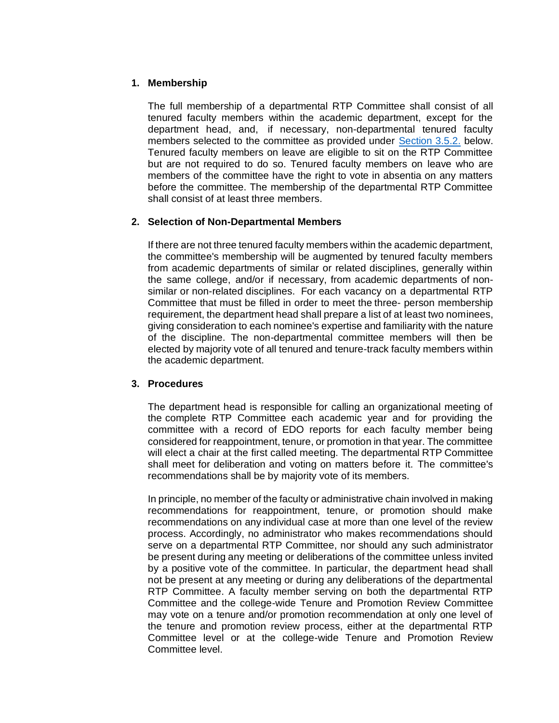## **1. Membership**

The full membership of a departmental RTP Committee shall consist of all tenured faculty members within the academic department, except for the department head, and, if necessary, non-departmental tenured faculty members selected to the committee as provided under [Section 3.5.2.](#page-21-0) below. Tenured faculty members on leave are eligible to sit on the RTP Committee but are not required to do so. Tenured faculty members on leave who are members of the committee have the right to vote in absentia on any matters before the committee. The membership of the departmental RTP Committee shall consist of at least three members.

## <span id="page-21-0"></span>**2. Selection of Non-Departmental Members**

If there are not three tenured faculty members within the academic department, the committee's membership will be augmented by tenured faculty members from academic departments of similar or related disciplines, generally within the same college, and/or if necessary, from academic departments of nonsimilar or non-related disciplines. For each vacancy on a departmental RTP Committee that must be filled in order to meet the three- person membership requirement, the department head shall prepare a list of at least two nominees, giving consideration to each nominee's expertise and familiarity with the nature of the discipline. The non-departmental committee members will then be elected by majority vote of all tenured and tenure-track faculty members within the academic department.

#### **3. Procedures**

The department head is responsible for calling an organizational meeting of the complete RTP Committee each academic year and for providing the committee with a record of EDO reports for each faculty member being considered for reappointment, tenure, or promotion in that year. The committee will elect a chair at the first called meeting. The departmental RTP Committee shall meet for deliberation and voting on matters before it. The committee's recommendations shall be by majority vote of its members.

In principle, no member of the faculty or administrative chain involved in making recommendations for reappointment, tenure, or promotion should make recommendations on any individual case at more than one level of the review process. Accordingly, no administrator who makes recommendations should serve on a departmental RTP Committee, nor should any such administrator be present during any meeting or deliberations of the committee unless invited by a positive vote of the committee. In particular, the department head shall not be present at any meeting or during any deliberations of the departmental RTP Committee. A faculty member serving on both the departmental RTP Committee and the college-wide Tenure and Promotion Review Committee may vote on a tenure and/or promotion recommendation at only one level of the tenure and promotion review process, either at the departmental RTP Committee level or at the college-wide Tenure and Promotion Review Committee level.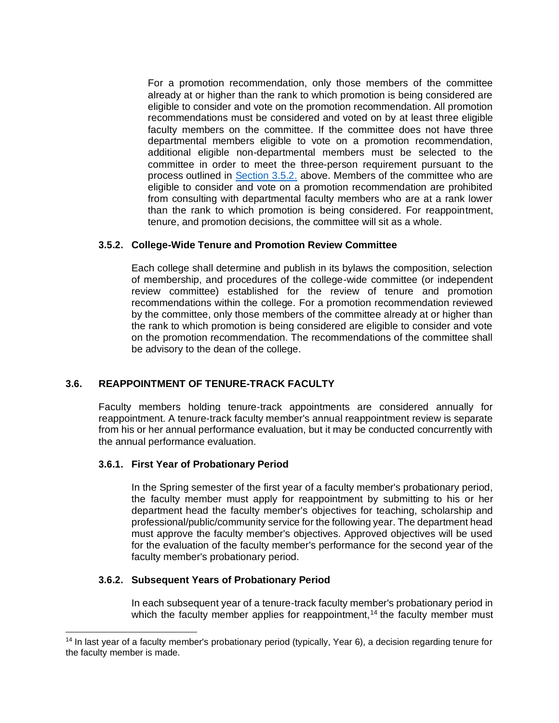For a promotion recommendation, only those members of the committee already at or higher than the rank to which promotion is being considered are eligible to consider and vote on the promotion recommendation. All promotion recommendations must be considered and voted on by at least three eligible faculty members on the committee. If the committee does not have three departmental members eligible to vote on a promotion recommendation, additional eligible non-departmental members must be selected to the committee in order to meet the three-person requirement pursuant to the process outlined in [Section 3.5.2.](#page-21-0) above. Members of the committee who are eligible to consider and vote on a promotion recommendation are prohibited from consulting with departmental faculty members who are at a rank lower than the rank to which promotion is being considered. For reappointment, tenure, and promotion decisions, the committee will sit as a whole.

## **3.5.2. College-Wide Tenure and Promotion Review Committee**

Each college shall determine and publish in its bylaws the composition, selection of membership, and procedures of the college-wide committee (or independent review committee) established for the review of tenure and promotion recommendations within the college. For a promotion recommendation reviewed by the committee, only those members of the committee already at or higher than the rank to which promotion is being considered are eligible to consider and vote on the promotion recommendation. The recommendations of the committee shall be advisory to the dean of the college.

## **3.6. REAPPOINTMENT OF TENURE-TRACK FACULTY**

Faculty members holding tenure-track appointments are considered annually for reappointment. A tenure-track faculty member's annual reappointment review is separate from his or her annual performance evaluation, but it may be conducted concurrently with the annual performance evaluation.

#### **3.6.1. First Year of Probationary Period**

In the Spring semester of the first year of a faculty member's probationary period, the faculty member must apply for reappointment by submitting to his or her department head the faculty member's objectives for teaching, scholarship and professional/public/community service for the following year. The department head must approve the faculty member's objectives. Approved objectives will be used for the evaluation of the faculty member's performance for the second year of the faculty member's probationary period.

#### **3.6.2. Subsequent Years of Probationary Period**

In each subsequent year of a tenure-track faculty member's probationary period in which the faculty member applies for reappointment,<sup>14</sup> the faculty member must

<sup>&</sup>lt;sup>14</sup> In last year of a faculty member's probationary period (typically, Year 6), a decision regarding tenure for the faculty member is made.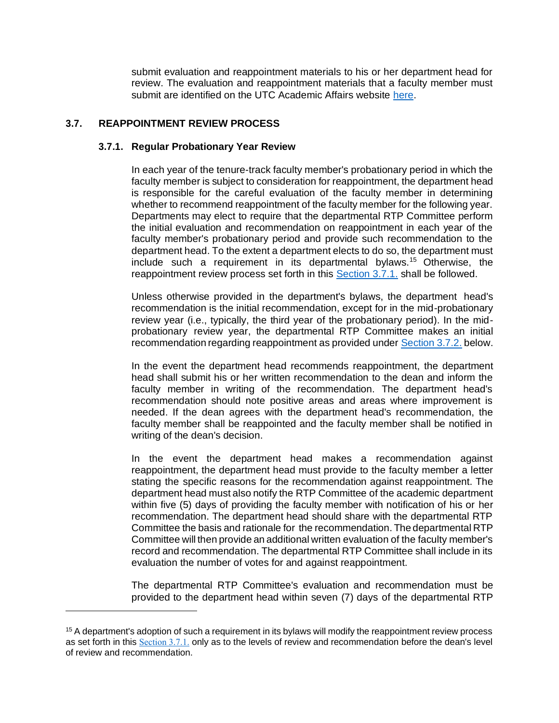submit evaluation and reappointment materials to his or her department head for review. The evaluation and reappointment materials that a faculty member must submit are identified on the UTC Academic Affairs website [here.](https://www.utc.edu/academic-affairs/provosts-page/formschoice.php)

## <span id="page-23-0"></span>**3.7. REAPPOINTMENT REVIEW PROCESS**

#### **3.7.1. Regular Probationary Year Review**

In each year of the tenure-track faculty member's probationary period in which the faculty member is subject to consideration for reappointment, the department head is responsible for the careful evaluation of the faculty member in determining whether to recommend reappointment of the faculty member for the following year. Departments may elect to require that the departmental RTP Committee perform the initial evaluation and recommendation on reappointment in each year of the faculty member's probationary period and provide such recommendation to the department head. To the extent a department elects to do so, the department must include such a requirement in its departmental bylaws.<sup>15</sup> Otherwise, the reappointment review process set forth in this [Section 3.7.1.](#page-23-0) shall be followed.

Unless otherwise provided in the department's bylaws, the department head's recommendation is the initial recommendation, except for in the mid-probationary review year (i.e., typically, the third year of the probationary period). In the midprobationary review year, the departmental RTP Committee makes an initial recommendation regarding reappointment as provided under [Section 3.7.2.](#page-24-0) below.

In the event the department head recommends reappointment, the department head shall submit his or her written recommendation to the dean and inform the faculty member in writing of the recommendation. The department head's recommendation should note positive areas and areas where improvement is needed. If the dean agrees with the department head's recommendation, the faculty member shall be reappointed and the faculty member shall be notified in writing of the dean's decision.

In the event the department head makes a recommendation against reappointment, the department head must provide to the faculty member a letter stating the specific reasons for the recommendation against reappointment. The department head must also notify the RTP Committee of the academic department within five (5) days of providing the faculty member with notification of his or her recommendation. The department head should share with the departmental RTP Committee the basis and rationale for the recommendation. The departmental RTP Committee will then provide an additional written evaluation of the faculty member's record and recommendation. The departmental RTP Committee shall include in its evaluation the number of votes for and against reappointment.

The departmental RTP Committee's evaluation and recommendation must be provided to the department head within seven (7) days of the departmental RTP

<sup>&</sup>lt;sup>15</sup> A department's adoption of such a requirement in its bylaws will modify the reappointment review process as set forth in this [Section 3.7.1.](#page-23-0) only as to the levels of review and recommendation before the dean's level of review and recommendation.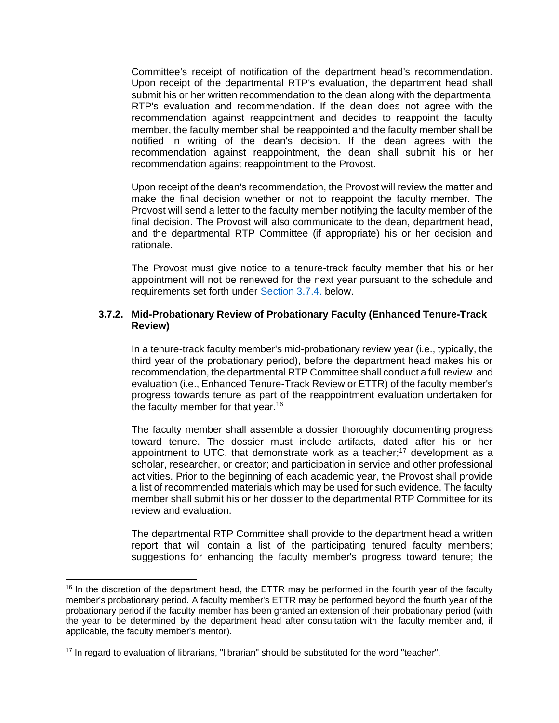Committee's receipt of notification of the department head's recommendation. Upon receipt of the departmental RTP's evaluation, the department head shall submit his or her written recommendation to the dean along with the departmental RTP's evaluation and recommendation. If the dean does not agree with the recommendation against reappointment and decides to reappoint the faculty member, the faculty member shall be reappointed and the faculty member shall be notified in writing of the dean's decision. If the dean agrees with the recommendation against reappointment, the dean shall submit his or her recommendation against reappointment to the Provost.

Upon receipt of the dean's recommendation, the Provost will review the matter and make the final decision whether or not to reappoint the faculty member. The Provost will send a letter to the faculty member notifying the faculty member of the final decision. The Provost will also communicate to the dean, department head, and the departmental RTP Committee (if appropriate) his or her decision and rationale.

The Provost must give notice to a tenure-track faculty member that his or her appointment will not be renewed for the next year pursuant to the schedule and requirements set forth under [Section 3.7.4.](#page-26-0) below.

#### <span id="page-24-0"></span>**3.7.2. Mid-Probationary Review of Probationary Faculty (Enhanced Tenure-Track Review)**

In a tenure-track faculty member's mid-probationary review year (i.e., typically, the third year of the probationary period), before the department head makes his or recommendation, the departmental RTP Committee shall conduct a full review and evaluation (i.e., Enhanced Tenure-Track Review or ETTR) of the faculty member's progress towards tenure as part of the reappointment evaluation undertaken for the faculty member for that year.<sup>16</sup>

The faculty member shall assemble a dossier thoroughly documenting progress toward tenure. The dossier must include artifacts, dated after his or her appointment to UTC, that demonstrate work as a teacher; $17$  development as a scholar, researcher, or creator; and participation in service and other professional activities. Prior to the beginning of each academic year, the Provost shall provide a list of recommended materials which may be used for such evidence. The faculty member shall submit his or her dossier to the departmental RTP Committee for its review and evaluation.

The departmental RTP Committee shall provide to the department head a written report that will contain a list of the participating tenured faculty members; suggestions for enhancing the faculty member's progress toward tenure; the

 $16$  In the discretion of the department head, the ETTR may be performed in the fourth year of the faculty member's probationary period. A faculty member's ETTR may be performed beyond the fourth year of the probationary period if the faculty member has been granted an extension of their probationary period (with the year to be determined by the department head after consultation with the faculty member and, if applicable, the faculty member's mentor).

<sup>&</sup>lt;sup>17</sup> In regard to evaluation of librarians, "librarian" should be substituted for the word "teacher".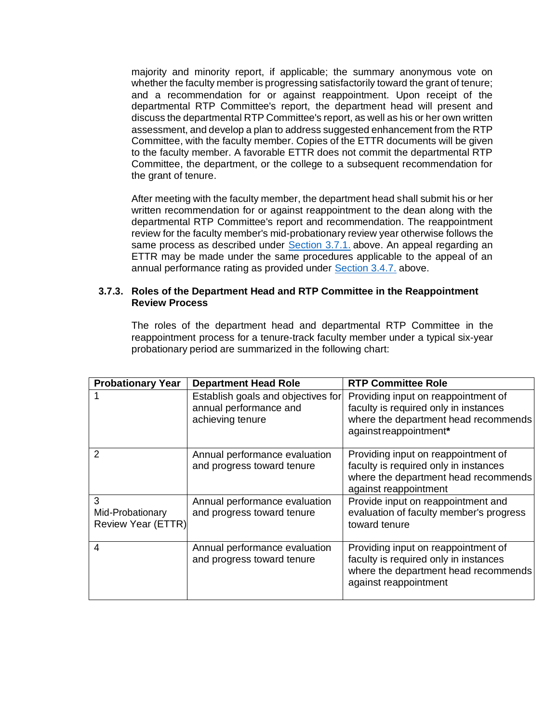majority and minority report, if applicable; the summary anonymous vote on whether the faculty member is progressing satisfactorily toward the grant of tenure; and a recommendation for or against reappointment. Upon receipt of the departmental RTP Committee's report, the department head will present and discuss the departmental RTP Committee's report, as well as his or her own written assessment, and develop a plan to address suggested enhancement from the RTP Committee, with the faculty member. Copies of the ETTR documents will be given to the faculty member. A favorable ETTR does not commit the departmental RTP Committee, the department, or the college to a subsequent recommendation for the grant of tenure.

After meeting with the faculty member, the department head shall submit his or her written recommendation for or against reappointment to the dean along with the departmental RTP Committee's report and recommendation. The reappointment review for the faculty member's mid-probationary review year otherwise follows the same process as described under [Section 3.7.1.](#page-23-0) above. An appeal regarding an ETTR may be made under the same procedures applicable to the appeal of an annual performance rating as provided under [Section 3.4.7.](#page-14-1) above.

#### **3.7.3. Roles of the Department Head and RTP Committee in the Reappointment Review Process**

The roles of the department head and departmental RTP Committee in the reappointment process for a tenure-track faculty member under a typical six-year probationary period are summarized in the following chart:

| <b>Probationary Year</b>                    | <b>Department Head Role</b>                                                      | <b>RTP Committee Role</b>                                                                                                                      |
|---------------------------------------------|----------------------------------------------------------------------------------|------------------------------------------------------------------------------------------------------------------------------------------------|
|                                             | Establish goals and objectives for<br>annual performance and<br>achieving tenure | Providing input on reappointment of<br>faculty is required only in instances<br>where the department head recommends<br>against reappointment* |
| 2                                           | Annual performance evaluation<br>and progress toward tenure                      | Providing input on reappointment of<br>faculty is required only in instances<br>where the department head recommends<br>against reappointment  |
| 3<br>Mid-Probationary<br>Review Year (ETTR) | Annual performance evaluation<br>and progress toward tenure                      | Provide input on reappointment and<br>evaluation of faculty member's progress<br>toward tenure                                                 |
| $\overline{4}$                              | Annual performance evaluation<br>and progress toward tenure                      | Providing input on reappointment of<br>faculty is required only in instances<br>where the department head recommends<br>against reappointment  |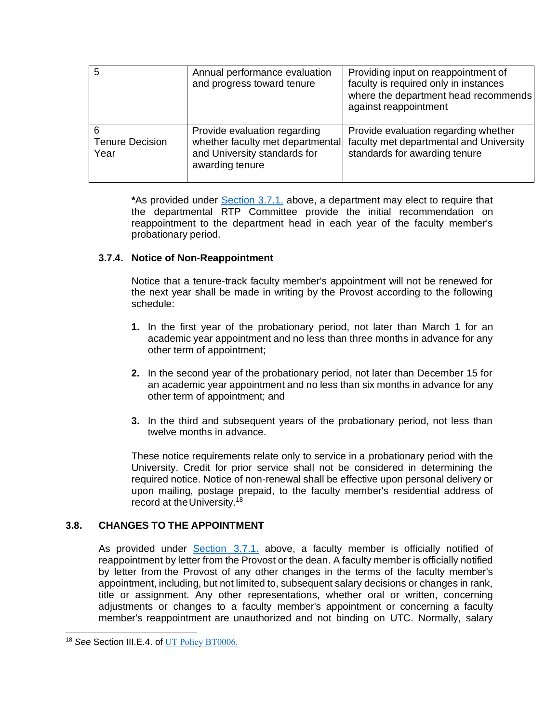| 5                              | Annual performance evaluation<br>and progress toward tenure                                                         | Providing input on reappointment of<br>faculty is required only in instances<br>where the department head recommends<br>against reappointment |
|--------------------------------|---------------------------------------------------------------------------------------------------------------------|-----------------------------------------------------------------------------------------------------------------------------------------------|
| <b>Tenure Decision</b><br>Year | Provide evaluation regarding<br>whether faculty met departmental<br>and University standards for<br>awarding tenure | Provide evaluation regarding whether<br>faculty met departmental and University<br>standards for awarding tenure                              |

**\***As provided under [Section 3.7.1.](#page-23-0) above, a department may elect to require that the departmental RTP Committee provide the initial recommendation on reappointment to the department head in each year of the faculty member's probationary period.

## <span id="page-26-0"></span>**3.7.4. Notice of Non-Reappointment**

Notice that a tenure-track faculty member's appointment will not be renewed for the next year shall be made in writing by the Provost according to the following schedule:

- **1.** In the first year of the probationary period, not later than March 1 for an academic year appointment and no less than three months in advance for any other term of appointment;
- **2.** In the second year of the probationary period, not later than December 15 for an academic year appointment and no less than six months in advance for any other term of appointment; and
- **3.** In the third and subsequent years of the probationary period, not less than twelve months in advance.

These notice requirements relate only to service in a probationary period with the University. Credit for prior service shall not be considered in determining the required notice. Notice of non-renewal shall be effective upon personal delivery or upon mailing, postage prepaid, to the faculty member's residential address of record at the University.<sup>18</sup>

## **3.8. CHANGES TO THE APPOINTMENT**

As provided under [Section 3.7.1.](#page-23-0) above, a faculty member is officially notified of reappointment by letter from the Provost or the dean. A faculty member is officially notified by letter from the Provost of any other changes in the terms of the faculty member's appointment, including, but not limited to, subsequent salary decisions or changes in rank, title or assignment. Any other representations, whether oral or written, concerning adjustments or changes to a faculty member's appointment or concerning a faculty member's reappointment are unauthorized and not binding on UTC. Normally, salary

<sup>&</sup>lt;sup>18</sup> See Section III.E.4. of UT [Policy BT0006.](http://policy.tennessee.edu/bot_policy/bt0006/)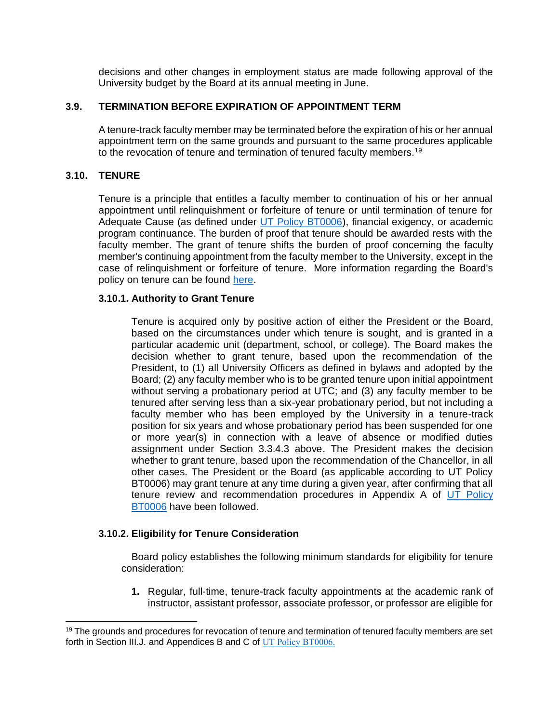decisions and other changes in employment status are made following approval of the University budget by the Board at its annual meeting in June.

## **3.9. TERMINATION BEFORE EXPIRATION OF APPOINTMENT TERM**

A tenure-track faculty member may be terminated before the expiration of his or her annual appointment term on the same grounds and pursuant to the same procedures applicable to the revocation of tenure and termination of tenured faculty members.<sup>19</sup>

## **3.10. TENURE**

Tenure is a principle that entitles a faculty member to continuation of his or her annual appointment until relinquishment or forfeiture of tenure or until termination of tenure for Adequate Cause (as defined under [UT Policy BT0006\)](http://policy.tennessee.edu/bot_policy/bt0006/), financial exigency, or academic program continuance. The burden of proof that tenure should be awarded rests with the faculty member. The grant of tenure shifts the burden of proof concerning the faculty member's continuing appointment from the faculty member to the University, except in the case of relinquishment or forfeiture of tenure. More information regarding the Board's policy on tenure can be found [here.](http://policy.tennessee.edu/bot_policy/bt0006/)

## **3.10.1. Authority to Grant Tenure**

Tenure is acquired only by positive action of either the President or the Board, based on the circumstances under which tenure is sought, and is granted in a particular academic unit (department, school, or college). The Board makes the decision whether to grant tenure, based upon the recommendation of the President, to (1) all University Officers as defined in bylaws and adopted by the Board; (2) any faculty member who is to be granted tenure upon initial appointment without serving a probationary period at UTC; and (3) any faculty member to be tenured after serving less than a six-year probationary period, but not including a faculty member who has been employed by the University in a tenure-track position for six years and whose probationary period has been suspended for one or more year(s) in connection with a leave of absence or modified duties assignment under Section 3.3.4.3 above. The President makes the decision whether to grant tenure, based upon the recommendation of the Chancellor, in all other cases. The President or the Board (as applicable according to UT Policy BT0006) may grant tenure at any time during a given year, after confirming that all tenure review and recommendation procedures in Appendix A of [UT Policy](http://policy.tennessee.edu/bot_policy/bt0006/)  [BT0006](http://policy.tennessee.edu/bot_policy/bt0006/) have been followed.

## **3.10.2. Eligibility for Tenure Consideration**

Board policy establishes the following minimum standards for eligibility for tenure consideration:

**1.** Regular, full-time, tenure-track faculty appointments at the academic rank of instructor, assistant professor, associate professor, or professor are eligible for

 $19$  The grounds and procedures for revocation of tenure and termination of tenured faculty members are set forth in Section III.J. and Appendices B and C of [UT Policy BT0006.](http://policy.tennessee.edu/bot_policy/bt0006/)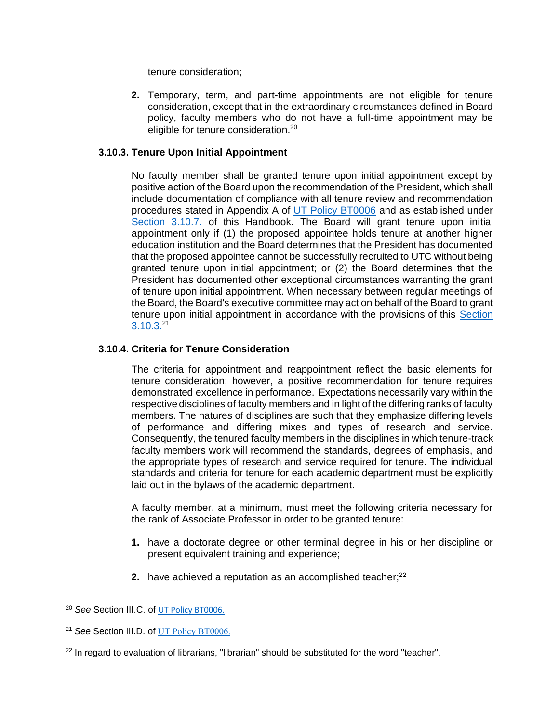tenure consideration;

**2.** Temporary, term, and part-time appointments are not eligible for tenure consideration, except that in the extraordinary circumstances defined in Board policy, faculty members who do not have a full-time appointment may be eligible for tenure consideration.<sup>20</sup>

#### <span id="page-28-0"></span>**3.10.3. Tenure Upon Initial Appointment**

No faculty member shall be granted tenure upon initial appointment except by positive action of the Board upon the recommendation of the President, which shall include documentation of compliance with all tenure review and recommendation procedures stated in Appendix A of [UT Policy BT0006](http://policy.tennessee.edu/bot_policy/bt0006/) and as established under [Section 3.10.7.](#page-31-0) of this Handbook. The Board will grant tenure upon initial appointment only if (1) the proposed appointee holds tenure at another higher education institution and the Board determines that the President has documented that the proposed appointee cannot be successfully recruited to UTC without being granted tenure upon initial appointment; or (2) the Board determines that the President has documented other exceptional circumstances warranting the grant of tenure upon initial appointment. When necessary between regular meetings of the Board, the Board's executive committee may act on behalf of the Board to grant tenure upon initial appointment in accordance with the provisions of this [Section](#page-28-0)  [3.10.3.](#page-28-0)<sup>21</sup>

#### **3.10.4. Criteria for Tenure Consideration**

The criteria for appointment and reappointment reflect the basic elements for tenure consideration; however, a positive recommendation for tenure requires demonstrated excellence in performance. Expectations necessarily vary within the respective disciplines of faculty members and in light of the differing ranks of faculty members. The natures of disciplines are such that they emphasize differing levels of performance and differing mixes and types of research and service. Consequently, the tenured faculty members in the disciplines in which tenure-track faculty members work will recommend the standards, degrees of emphasis, and the appropriate types of research and service required for tenure. The individual standards and criteria for tenure for each academic department must be explicitly laid out in the bylaws of the academic department.

A faculty member, at a minimum, must meet the following criteria necessary for the rank of Associate Professor in order to be granted tenure:

- **1.** have a doctorate degree or other terminal degree in his or her discipline or present equivalent training and experience;
- **2.** have achieved a reputation as an accomplished teacher;<sup>22</sup>

<sup>20</sup> *See* Section III.C. of [UT Policy BT0006.](http://policy.tennessee.edu/bot_policy/bt0006/)

<sup>21</sup> *See* Section III.D. of [UT Policy BT0006.](http://policy.tennessee.edu/bot_policy/bt0006/)

 $22$  In regard to evaluation of librarians, "librarian" should be substituted for the word "teacher".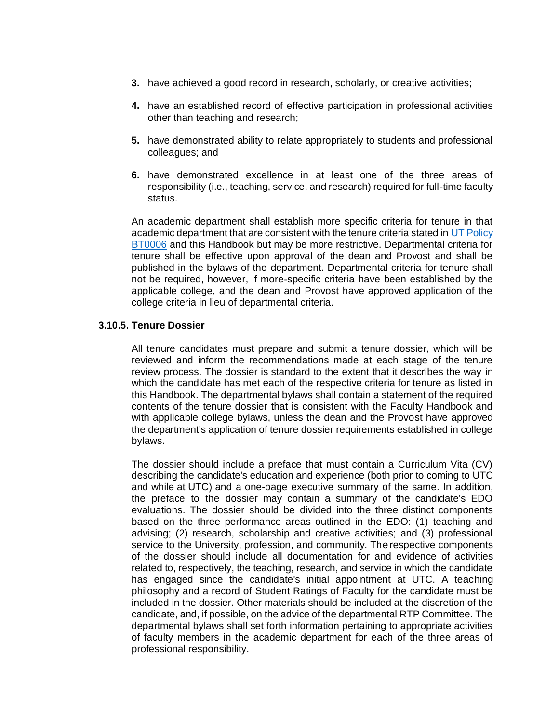- **3.** have achieved a good record in research, scholarly, or creative activities;
- **4.** have an established record of effective participation in professional activities other than teaching and research;
- **5.** have demonstrated ability to relate appropriately to students and professional colleagues; and
- **6.** have demonstrated excellence in at least one of the three areas of responsibility (i.e., teaching, service, and research) required for full-time faculty status.

An academic department shall establish more specific criteria for tenure in that academic department that are consistent with the tenure criteria stated i[n UT Policy](http://policy.tennessee.edu/bot_policy/bt0006/)  [BT0006](http://policy.tennessee.edu/bot_policy/bt0006/) and this Handbook but may be more restrictive. Departmental criteria for tenure shall be effective upon approval of the dean and Provost and shall be published in the bylaws of the department. Departmental criteria for tenure shall not be required, however, if more-specific criteria have been established by the applicable college, and the dean and Provost have approved application of the college criteria in lieu of departmental criteria.

#### **3.10.5. Tenure Dossier**

All tenure candidates must prepare and submit a tenure dossier, which will be reviewed and inform the recommendations made at each stage of the tenure review process. The dossier is standard to the extent that it describes the way in which the candidate has met each of the respective criteria for tenure as listed in this Handbook. The departmental bylaws shall contain a statement of the required contents of the tenure dossier that is consistent with the Faculty Handbook and with applicable college bylaws, unless the dean and the Provost have approved the department's application of tenure dossier requirements established in college bylaws.

The dossier should include a preface that must contain a Curriculum Vita (CV) describing the candidate's education and experience (both prior to coming to UTC and while at UTC) and a one-page executive summary of the same. In addition, the preface to the dossier may contain a summary of the candidate's EDO evaluations. The dossier should be divided into the three distinct components based on the three performance areas outlined in the EDO: (1) teaching and advising; (2) research, scholarship and creative activities; and (3) professional service to the University, profession, and community. The respective components of the dossier should include all documentation for and evidence of activities related to, respectively, the teaching, research, and service in which the candidate has engaged since the candidate's initial appointment at UTC. A teaching philosophy and a record of Student Ratings of Faculty for the candidate must be included in the dossier. Other materials should be included at the discretion of the candidate, and, if possible, on the advice of the departmental RTP Committee. The departmental bylaws shall set forth information pertaining to appropriate activities of faculty members in the academic department for each of the three areas of professional responsibility.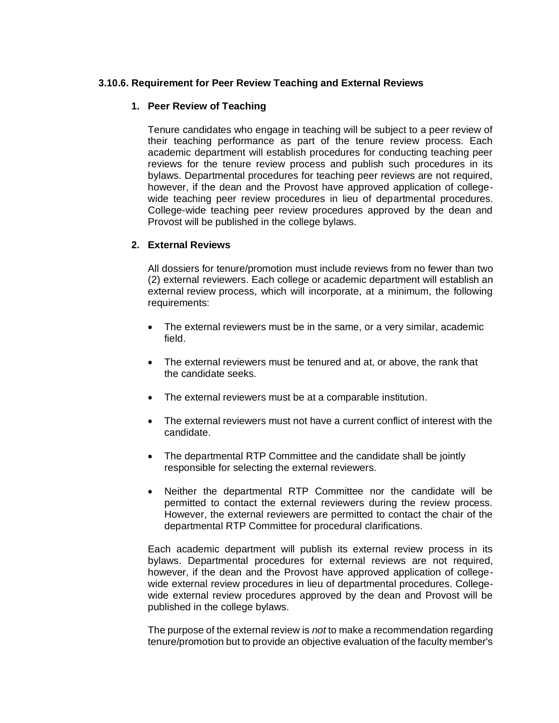#### <span id="page-30-0"></span>**3.10.6. Requirement for Peer Review Teaching and External Reviews**

#### **1. Peer Review of Teaching**

Tenure candidates who engage in teaching will be subject to a peer review of their teaching performance as part of the tenure review process. Each academic department will establish procedures for conducting teaching peer reviews for the tenure review process and publish such procedures in its bylaws. Departmental procedures for teaching peer reviews are not required, however, if the dean and the Provost have approved application of collegewide teaching peer review procedures in lieu of departmental procedures. College-wide teaching peer review procedures approved by the dean and Provost will be published in the college bylaws.

#### **2. External Reviews**

All dossiers for tenure/promotion must include reviews from no fewer than two (2) external reviewers. Each college or academic department will establish an external review process, which will incorporate, at a minimum, the following requirements:

- The external reviewers must be in the same, or a very similar, academic field.
- The external reviewers must be tenured and at, or above, the rank that the candidate seeks.
- The external reviewers must be at a comparable institution.
- The external reviewers must not have a current conflict of interest with the candidate.
- The departmental RTP Committee and the candidate shall be jointly responsible for selecting the external reviewers.
- Neither the departmental RTP Committee nor the candidate will be permitted to contact the external reviewers during the review process. However, the external reviewers are permitted to contact the chair of the departmental RTP Committee for procedural clarifications.

Each academic department will publish its external review process in its bylaws. Departmental procedures for external reviews are not required, however, if the dean and the Provost have approved application of collegewide external review procedures in lieu of departmental procedures. Collegewide external review procedures approved by the dean and Provost will be published in the college bylaws.

The purpose of the external review is *not* to make a recommendation regarding tenure/promotion but to provide an objective evaluation of the faculty member's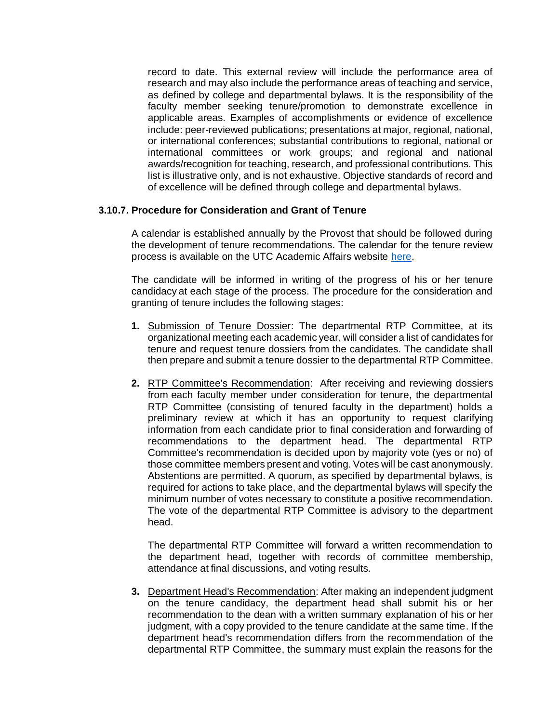record to date. This external review will include the performance area of research and may also include the performance areas of teaching and service, as defined by college and departmental bylaws. It is the responsibility of the faculty member seeking tenure/promotion to demonstrate excellence in applicable areas. Examples of accomplishments or evidence of excellence include: peer-reviewed publications; presentations at major, regional, national, or international conferences; substantial contributions to regional, national or international committees or work groups; and regional and national awards/recognition for teaching, research, and professional contributions. This list is illustrative only, and is not exhaustive. Objective standards of record and of excellence will be defined through college and departmental bylaws.

#### <span id="page-31-0"></span>**3.10.7. Procedure for Consideration and Grant of Tenure**

A calendar is established annually by the Provost that should be followed during the development of tenure recommendations. The calendar for the tenure review process is available on the UTC Academic Affairs website [here.](http://www.utc.edu/academic-affairs/calendars-deadlines.php)

The candidate will be informed in writing of the progress of his or her tenure candidacy at each stage of the process. The procedure for the consideration and granting of tenure includes the following stages:

- **1.** Submission of Tenure Dossier: The departmental RTP Committee, at its organizational meeting each academic year, will consider a list of candidates for tenure and request tenure dossiers from the candidates. The candidate shall then prepare and submit a tenure dossier to the departmental RTP Committee.
- **2.** RTP Committee's Recommendation: After receiving and reviewing dossiers from each faculty member under consideration for tenure, the departmental RTP Committee (consisting of tenured faculty in the department) holds a preliminary review at which it has an opportunity to request clarifying information from each candidate prior to final consideration and forwarding of recommendations to the department head. The departmental RTP Committee's recommendation is decided upon by majority vote (yes or no) of those committee members present and voting. Votes will be cast anonymously. Abstentions are permitted. A quorum, as specified by departmental bylaws, is required for actions to take place, and the departmental bylaws will specify the minimum number of votes necessary to constitute a positive recommendation. The vote of the departmental RTP Committee is advisory to the department head.

The departmental RTP Committee will forward a written recommendation to the department head, together with records of committee membership, attendance at final discussions, and voting results.

**3.** Department Head's Recommendation: After making an independent judgment on the tenure candidacy, the department head shall submit his or her recommendation to the dean with a written summary explanation of his or her judgment, with a copy provided to the tenure candidate at the same time. If the department head's recommendation differs from the recommendation of the departmental RTP Committee, the summary must explain the reasons for the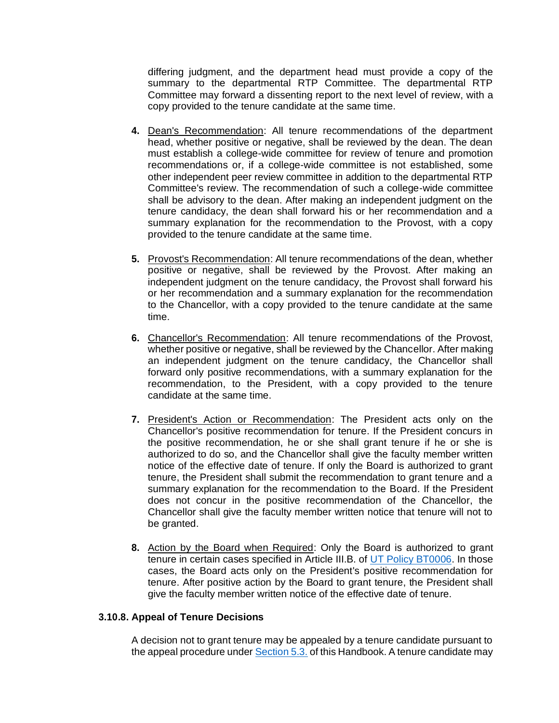differing judgment, and the department head must provide a copy of the summary to the departmental RTP Committee. The departmental RTP Committee may forward a dissenting report to the next level of review, with a copy provided to the tenure candidate at the same time.

- **4.** Dean's Recommendation: All tenure recommendations of the department head, whether positive or negative, shall be reviewed by the dean. The dean must establish a college-wide committee for review of tenure and promotion recommendations or, if a college-wide committee is not established, some other independent peer review committee in addition to the departmental RTP Committee's review. The recommendation of such a college-wide committee shall be advisory to the dean. After making an independent judgment on the tenure candidacy, the dean shall forward his or her recommendation and a summary explanation for the recommendation to the Provost, with a copy provided to the tenure candidate at the same time.
- **5.** Provost's Recommendation: All tenure recommendations of the dean, whether positive or negative, shall be reviewed by the Provost. After making an independent judgment on the tenure candidacy, the Provost shall forward his or her recommendation and a summary explanation for the recommendation to the Chancellor, with a copy provided to the tenure candidate at the same time.
- **6.** Chancellor's Recommendation: All tenure recommendations of the Provost, whether positive or negative, shall be reviewed by the Chancellor. After making an independent judgment on the tenure candidacy, the Chancellor shall forward only positive recommendations, with a summary explanation for the recommendation, to the President, with a copy provided to the tenure candidate at the same time.
- **7.** President's Action or Recommendation: The President acts only on the Chancellor's positive recommendation for tenure. If the President concurs in the positive recommendation, he or she shall grant tenure if he or she is authorized to do so, and the Chancellor shall give the faculty member written notice of the effective date of tenure. If only the Board is authorized to grant tenure, the President shall submit the recommendation to grant tenure and a summary explanation for the recommendation to the Board. If the President does not concur in the positive recommendation of the Chancellor, the Chancellor shall give the faculty member written notice that tenure will not to be granted.
- **8.** Action by the Board when Required: Only the Board is authorized to grant tenure in certain cases specified in Article III.B. of [UT Policy BT0006.](http://policy.tennessee.edu/bot_policy/bt0006/) In those cases, the Board acts only on the President's positive recommendation for tenure. After positive action by the Board to grant tenure, the President shall give the faculty member written notice of the effective date of tenure.

#### **3.10.8. Appeal of Tenure Decisions**

A decision not to grant tenure may be appealed by a tenure candidate pursuant to the appeal procedure under Section 5.3. of this Handbook. A tenure candidate may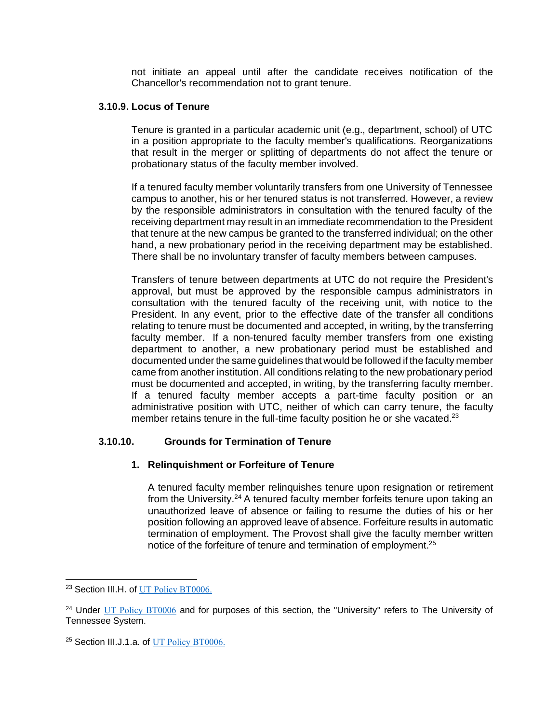not initiate an appeal until after the candidate receives notification of the Chancellor's recommendation not to grant tenure.

#### **3.10.9. Locus of Tenure**

Tenure is granted in a particular academic unit (e.g., department, school) of UTC in a position appropriate to the faculty member's qualifications. Reorganizations that result in the merger or splitting of departments do not affect the tenure or probationary status of the faculty member involved.

If a tenured faculty member voluntarily transfers from one University of Tennessee campus to another, his or her tenured status is not transferred. However, a review by the responsible administrators in consultation with the tenured faculty of the receiving department may result in an immediate recommendation to the President that tenure at the new campus be granted to the transferred individual; on the other hand, a new probationary period in the receiving department may be established. There shall be no involuntary transfer of faculty members between campuses.

Transfers of tenure between departments at UTC do not require the President's approval, but must be approved by the responsible campus administrators in consultation with the tenured faculty of the receiving unit, with notice to the President. In any event, prior to the effective date of the transfer all conditions relating to tenure must be documented and accepted, in writing, by the transferring faculty member. If a non-tenured faculty member transfers from one existing department to another, a new probationary period must be established and documented under the same guidelines that would be followed if the faculty member came from another institution. All conditions relating to the new probationary period must be documented and accepted, in writing, by the transferring faculty member. If a tenured faculty member accepts a part-time faculty position or an administrative position with UTC, neither of which can carry tenure, the faculty member retains tenure in the full-time faculty position he or she vacated.<sup>23</sup>

## **3.10.10. Grounds for Termination of Tenure**

## **1. Relinquishment or Forfeiture of Tenure**

A tenured faculty member relinquishes tenure upon resignation or retirement from the University.<sup>24</sup> A tenured faculty member forfeits tenure upon taking an unauthorized leave of absence or failing to resume the duties of his or her position following an approved leave of absence. Forfeiture results in automatic termination of employment. The Provost shall give the faculty member written notice of the forfeiture of tenure and termination of employment.<sup>25</sup>

<sup>&</sup>lt;sup>23</sup> Section III.H. of [UT Policy BT0006.](http://policy.tennessee.edu/bot_policy/bt0006/)

<sup>&</sup>lt;sup>24</sup> Under [UT Policy BT0006](http://policy.tennessee.edu/bot_policy/bt0006/) and for purposes of this section, the "University" refers to The University of Tennessee System.

<sup>&</sup>lt;sup>25</sup> Section III.J.1.a. of [UT Policy BT0006.](http://policy.tennessee.edu/bot_policy/bt0006/)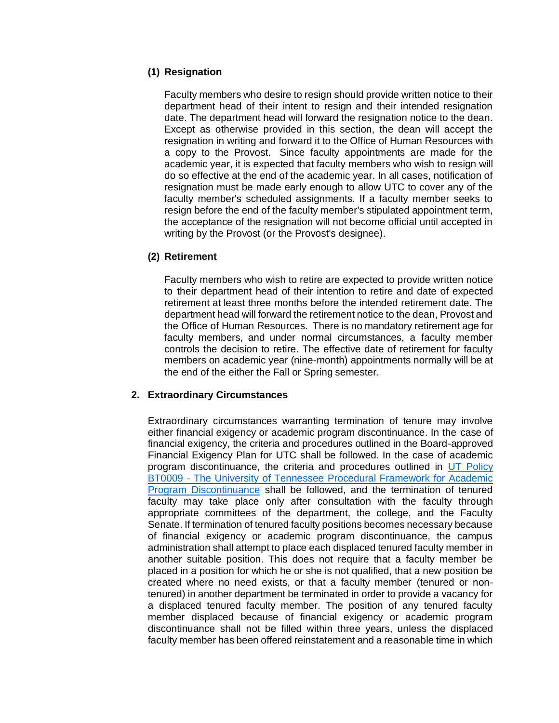## **(1) Resignation**

Faculty members who desire to resign should provide written notice to their department head of their intent to resign and their intended resignation date. The department head will forward the resignation notice to the dean. Except as otherwise provided in this section, the dean will accept the resignation in writing and forward it to the Office of Human Resources with a copy to the Provost. Since faculty appointments are made for the academic year, it is expected that faculty members who wish to resign will do so effective at the end of the academic year. In all cases, notification of resignation must be made early enough to allow UTC to cover any of the faculty member's scheduled assignments. If a faculty member seeks to resign before the end of the faculty member's stipulated appointment term, the acceptance of the resignation will not become official until accepted in writing by the Provost (or the Provost's designee).

#### **(2) Retirement**

Faculty members who wish to retire are expected to provide written notice to their department head of their intention to retire and date of expected retirement at least three months before the intended retirement date. The department head will forward the retirement notice to the dean, Provost and the Office of Human Resources. There is no mandatory retirement age for faculty members, and under normal circumstances, a faculty member controls the decision to retire. The effective date of retirement for faculty members on academic year (nine-month) appointments normally will be at the end of the either the Fall or Spring semester.

## **2. Extraordinary Circumstances**

Extraordinary circumstances warranting termination of tenure may involve either financial exigency or academic program discontinuance. In the case of financial exigency, the criteria and procedures outlined in the Board-approved Financial Exigency Plan for UTC shall be followed. In the case of academic program discontinuance, the criteria and procedures outlined in [UT Policy](https://policy.tennessee.edu/bot_policy/bt0009/)  BT0009 - [The University of Tennessee Procedural Framework for Academic](https://policy.tennessee.edu/bot_policy/bt0009/)  [Program Discontinuance](https://policy.tennessee.edu/bot_policy/bt0009/) shall be followed, and the termination of tenured faculty may take place only after consultation with the faculty through appropriate committees of the department, the college, and the Faculty Senate. If termination of tenured faculty positions becomes necessary because of financial exigency or academic program discontinuance, the campus administration shall attempt to place each displaced tenured faculty member in another suitable position. This does not require that a faculty member be placed in a position for which he or she is not qualified, that a new position be created where no need exists, or that a faculty member (tenured or nontenured) in another department be terminated in order to provide a vacancy for a displaced tenured faculty member. The position of any tenured faculty member displaced because of financial exigency or academic program discontinuance shall not be filled within three years, unless the displaced faculty member has been offered reinstatement and a reasonable time in which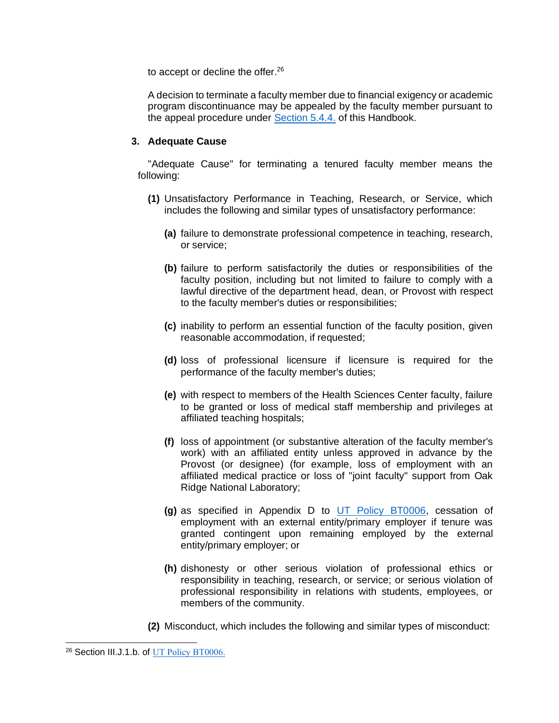to accept or decline the offer.<sup>26</sup>

A decision to terminate a faculty member due to financial exigency or academic program discontinuance may be appealed by the faculty member pursuant to the appeal procedure under Section 5.4.4. of this Handbook.

#### **3. Adequate Cause**

"Adequate Cause" for terminating a tenured faculty member means the following:

- **(1)** Unsatisfactory Performance in Teaching, Research, or Service, which includes the following and similar types of unsatisfactory performance:
	- **(a)** failure to demonstrate professional competence in teaching, research, or service;
	- **(b)** failure to perform satisfactorily the duties or responsibilities of the faculty position, including but not limited to failure to comply with a lawful directive of the department head, dean, or Provost with respect to the faculty member's duties or responsibilities;
	- **(c)** inability to perform an essential function of the faculty position, given reasonable accommodation, if requested;
	- **(d)** loss of professional licensure if licensure is required for the performance of the faculty member's duties;
	- **(e)** with respect to members of the Health Sciences Center faculty, failure to be granted or loss of medical staff membership and privileges at affiliated teaching hospitals;
	- **(f)** loss of appointment (or substantive alteration of the faculty member's work) with an affiliated entity unless approved in advance by the Provost (or designee) (for example, loss of employment with an affiliated medical practice or loss of "joint faculty" support from Oak Ridge National Laboratory;
	- **(g)** as specified in Appendix D to [UT Policy BT0006,](http://policy.tennessee.edu/bot_policy/bt0006/) cessation of employment with an external entity/primary employer if tenure was granted contingent upon remaining employed by the external entity/primary employer; or
	- **(h)** dishonesty or other serious violation of professional ethics or responsibility in teaching, research, or service; or serious violation of professional responsibility in relations with students, employees, or members of the community.
- **(2)** Misconduct, which includes the following and similar types of misconduct:

<sup>&</sup>lt;sup>26</sup> Section III.J.1.b. of [UT Policy BT0006.](http://policy.tennessee.edu/bot_policy/bt0006/)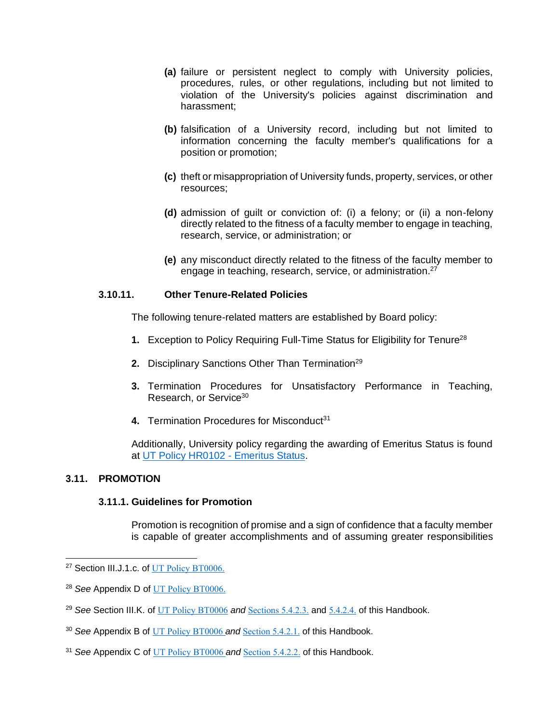- **(a)** failure or persistent neglect to comply with University policies, procedures, rules, or other regulations, including but not limited to violation of the University's policies against discrimination and harassment;
- **(b)** falsification of a University record, including but not limited to information concerning the faculty member's qualifications for a position or promotion;
- **(c)** theft or misappropriation of University funds, property, services, or other resources;
- **(d)** admission of guilt or conviction of: (i) a felony; or (ii) a non-felony directly related to the fitness of a faculty member to engage in teaching, research, service, or administration; or
- **(e)** any misconduct directly related to the fitness of the faculty member to engage in teaching, research, service, or administration.<sup>27</sup>

## **3.10.11. Other Tenure-Related Policies**

The following tenure-related matters are established by Board policy:

- **1.** Exception to Policy Requiring Full-Time Status for Eligibility for Tenure<sup>28</sup>
- **2.** Disciplinary Sanctions Other Than Termination<sup>29</sup>
- **3.** Termination Procedures for Unsatisfactory Performance in Teaching, Research, or Service<sup>30</sup>
- **4. Termination Procedures for Misconduct<sup>31</sup>**

Additionally, University policy regarding the awarding of Emeritus Status is found at [UT Policy HR0102 -](http://policy.tennessee.edu/hr_policy/hr0102/) Emeritus Status.

## **3.11. PROMOTION**

#### **3.11.1. Guidelines for Promotion**

Promotion is recognition of promise and a sign of confidence that a faculty member is capable of greater accomplishments and of assuming greater responsibilities

<sup>&</sup>lt;sup>27</sup> Section III.J.1.c. of [UT Policy BT0006.](http://policy.tennessee.edu/bot_policy/bt0006/)

<sup>28</sup> *See* Appendix D of [UT Policy BT0006.](http://policy.tennessee.edu/bot_policy/bt0006/)

<sup>29</sup> *See* Section III.K. of [UT Policy BT0006](http://policy.tennessee.edu/bot_policy/bt0006/) *and* Sections 5.4.2.3. and 5.4.2.4. of this Handbook.

<sup>30</sup> *See* Appendix B of [UT Policy BT0006](http://policy.tennessee.edu/bot_policy/bt0006/) *and* Section 5.4.2.1. of this Handbook.

<sup>31</sup> *See* Appendix C of [UT Policy BT0006](http://policy.tennessee.edu/bot_policy/bt0006/) *and* Section 5.4.2.2. of this Handbook.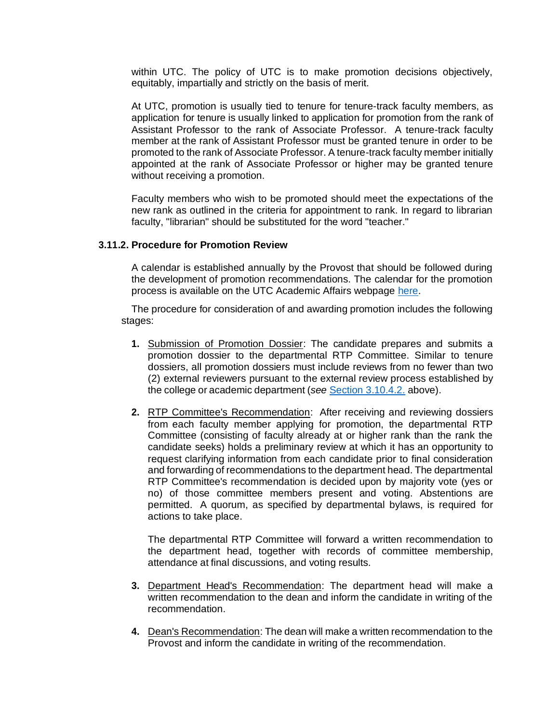within UTC. The policy of UTC is to make promotion decisions objectively, equitably, impartially and strictly on the basis of merit.

At UTC, promotion is usually tied to tenure for tenure-track faculty members, as application for tenure is usually linked to application for promotion from the rank of Assistant Professor to the rank of Associate Professor. A tenure-track faculty member at the rank of Assistant Professor must be granted tenure in order to be promoted to the rank of Associate Professor. A tenure-track faculty member initially appointed at the rank of Associate Professor or higher may be granted tenure without receiving a promotion.

Faculty members who wish to be promoted should meet the expectations of the new rank as outlined in the criteria for appointment to rank. In regard to librarian faculty, "librarian" should be substituted for the word "teacher."

#### **3.11.2. Procedure for Promotion Review**

A calendar is established annually by the Provost that should be followed during the development of promotion recommendations. The calendar for the promotion process is available on the UTC Academic Affairs webpage [here.](http://www.utc.edu/academic-affairs/calendars-deadlines.php)

The procedure for consideration of and awarding promotion includes the following stages:

- **1.** Submission of Promotion Dossier: The candidate prepares and submits a promotion dossier to the departmental RTP Committee. Similar to tenure dossiers, all promotion dossiers must include reviews from no fewer than two (2) external reviewers pursuant to the external review process established by the college or academic department (*see* [Section 3.10.4.2.](#page-30-0) above).
- **2.** RTP Committee's Recommendation: After receiving and reviewing dossiers from each faculty member applying for promotion, the departmental RTP Committee (consisting of faculty already at or higher rank than the rank the candidate seeks) holds a preliminary review at which it has an opportunity to request clarifying information from each candidate prior to final consideration and forwarding of recommendations to the department head. The departmental RTP Committee's recommendation is decided upon by majority vote (yes or no) of those committee members present and voting. Abstentions are permitted. A quorum, as specified by departmental bylaws, is required for actions to take place.

The departmental RTP Committee will forward a written recommendation to the department head, together with records of committee membership, attendance at final discussions, and voting results.

- **3.** Department Head's Recommendation: The department head will make a written recommendation to the dean and inform the candidate in writing of the recommendation.
- **4.** Dean's Recommendation: The dean will make a written recommendation to the Provost and inform the candidate in writing of the recommendation.